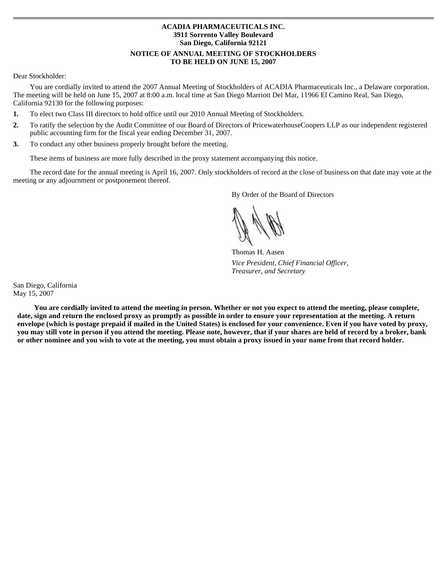# **ACADIA PHARMACEUTICALS INC. 3911 Sorrento Valley Boulevard San Diego, California 92121 NOTICE OF ANNUAL MEETING OF STOCKHOLDERS TO BE HELD ON JUNE 15, 2007**

# Dear Stockholder:

 You are cordially invited to attend the 2007 Annual Meeting of Stockholders of ACADIA Pharmaceuticals Inc., a Delaware corporation. The meeting will be held on June 15, 2007 at 8:00 a.m. local time at San Diego Marriott Del Mar, 11966 El Camino Real, San Diego, California 92130 for the following purposes:

- $1.$ **1.** To elect two Class III directors to hold office until our 2010 Annual Meeting of Stockholders.
- $\mathcal{L}$ **2.** To ratify the selection by the Audit Committee of our Board of Directors of PricewaterhouseCoopers LLP as our independent registered public accounting firm for the fiscal year ending December 31, 2007.
- $3.$ **3.** To conduct any other business properly brought before the meeting.

These items of business are more fully described in the proxy statement accompanying this notice.

The record date for the annual meeting is April 16, 2007. Only stockholders of record at the close of business on that date may vote at the meeting or any adjournment or postponement thereof.

By Order of the Board of Directors

Thomas H. Aasen *Vice President, Chief Financial Officer, Treasurer, and Secretary* 

San Diego, California May 15, 2007

**You are cordially invited to attend the meeting in person. Whether or not you expect to attend the meeting, please complete,**  date, sign and return the enclosed proxy as promptly as possible in order to ensure your representation at the meeting. A return **envelope (which is postage prepaid if mailed in the United States) is enclosed for your convenience. Even if you have voted by proxy, you may still vote in person if you attend the meeting. Please note, however, that if your shares are held of record by a broker, bank or other nominee and you wish to vote at the meeting, you must obtain a proxy issued in your name from that record holder.**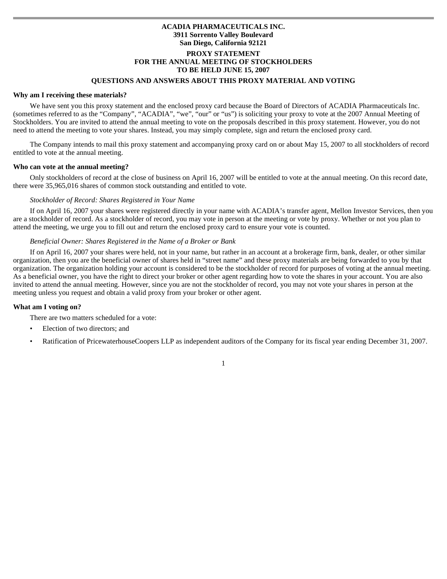# **ACADIA PHARMACEUTICALS INC. 3911 Sorrento Valley Boulevard San Diego, California 92121 PROXY STATEMENT FOR THE ANNUAL MEETING OF STOCKHOLDERS TO BE HELD JUNE 15, 2007**

# **QUESTIONS AND ANSWERS ABOUT THIS PROXY MATERIAL AND VOTING**

#### **Why am I receiving these materials?**

 We have sent you this proxy statement and the enclosed proxy card because the Board of Directors of ACADIA Pharmaceuticals Inc. (sometimes referred to as the "Company", "ACADIA", "we", "our" or "us") is soliciting your proxy to vote at the 2007 Annual Meeting of Stockholders. You are invited to attend the annual meeting to vote on the proposals described in this proxy statement. However, you do not need to attend the meeting to vote your shares. Instead, you may simply complete, sign and return the enclosed proxy card.

The Company intends to mail this proxy statement and accompanying proxy card on or about May 15, 2007 to all stockholders of record entitled to vote at the annual meeting.

#### **Who can vote at the annual meeting?**

 Only stockholders of record at the close of business on April 16, 2007 will be entitled to vote at the annual meeting. On this record date, there were 35,965,016 shares of common stock outstanding and entitled to vote.

### *Stockholder of Record: Shares Registered in Your Name*

 If on April 16, 2007 your shares were registered directly in your name with ACADIA's transfer agent, Mellon Investor Services, then you are a stockholder of record. As a stockholder of record, you may vote in person at the meeting or vote by proxy. Whether or not you plan to attend the meeting, we urge you to fill out and return the enclosed proxy card to ensure your vote is counted.

### *Beneficial Owner: Shares Registered in the Name of a Broker or Bank*

 If on April 16, 2007 your shares were held, not in your name, but rather in an account at a brokerage firm, bank, dealer, or other similar organization, then you are the beneficial owner of shares held in "street name" and these proxy materials are being forwarded to you by that organization. The organization holding your account is considered to be the stockholder of record for purposes of voting at the annual meeting. As a beneficial owner, you have the right to direct your broker or other agent regarding how to vote the shares in your account. You are also invited to attend the annual meeting. However, since you are not the stockholder of record, you may not vote your shares in person at the meeting unless you request and obtain a valid proxy from your broker or other agent.

### **What am I voting on?**

There are two matters scheduled for a vote:

- Election of two directors; and
- Ratification of PricewaterhouseCoopers LLP as independent auditors of the Company for its fiscal year ending December 31, 2007.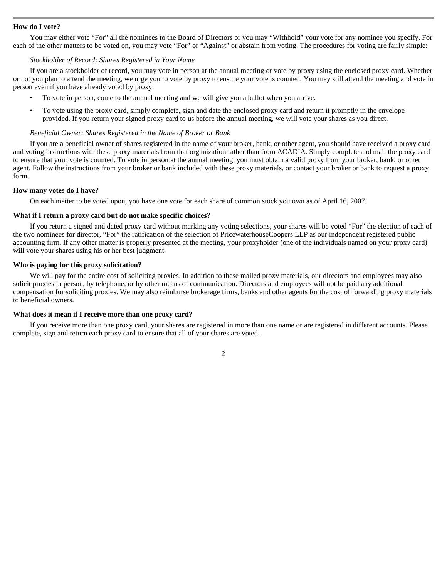### **How do I vote?**

 You may either vote "For" all the nominees to the Board of Directors or you may "Withhold" your vote for any nominee you specify. For each of the other matters to be voted on, you may vote "For" or "Against" or abstain from voting. The procedures for voting are fairly simple:

### *Stockholder of Record: Shares Registered in Your Name*

 If you are a stockholder of record, you may vote in person at the annual meeting or vote by proxy using the enclosed proxy card. Whether or not you plan to attend the meeting, we urge you to vote by proxy to ensure your vote is counted. You may still attend the meeting and vote in person even if you have already voted by proxy.

- To vote in person, come to the annual meeting and we will give you a ballot when you arrive.
- To vote using the proxy card, simply complete, sign and date the enclosed proxy card and return it promptly in the envelope provided. If you return your signed proxy card to us before the annual meeting, we will vote your shares as you direct.

### *Beneficial Owner: Shares Registered in the Name of Broker or Bank*

If you are a beneficial owner of shares registered in the name of your broker, bank, or other agent, you should have received a proxy card and voting instructions with these proxy materials from that organization rather than from ACADIA. Simply complete and mail the proxy card to ensure that your vote is counted. To vote in person at the annual meeting, you must obtain a valid proxy from your broker, bank, or other agent. Follow the instructions from your broker or bank included with these proxy materials, or contact your broker or bank to request a proxy form.

### **How many votes do I have?**

On each matter to be voted upon, you have one vote for each share of common stock you own as of April 16, 2007.

### **What if I return a proxy card but do not make specific choices?**

 If you return a signed and dated proxy card without marking any voting selections, your shares will be voted "For" the election of each of the two nominees for director, "For" the ratification of the selection of PricewaterhouseCoopers LLP as our independent registered public accounting firm. If any other matter is properly presented at the meeting, your proxyholder (one of the individuals named on your proxy card) will vote your shares using his or her best judgment.

### **Who is paying for this proxy solicitation?**

We will pay for the entire cost of soliciting proxies. In addition to these mailed proxy materials, our directors and employees may also solicit proxies in person, by telephone, or by other means of communication. Directors and employees will not be paid any additional compensation for soliciting proxies. We may also reimburse brokerage firms, banks and other agents for the cost of forwarding proxy materials to beneficial owners.

#### **What does it mean if I receive more than one proxy card?**

 If you receive more than one proxy card, your shares are registered in more than one name or are registered in different accounts. Please complete, sign and return each proxy card to ensure that all of your shares are voted.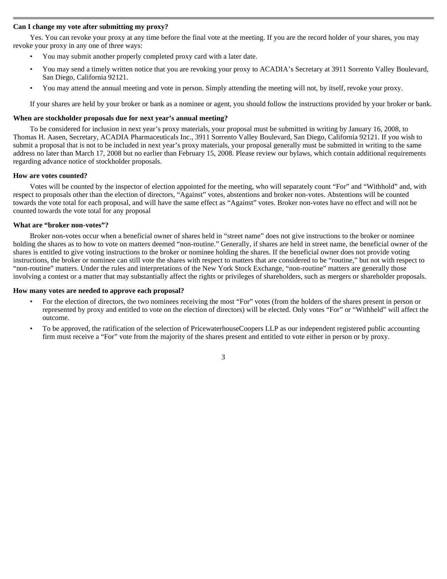### **Can I change my vote after submitting my proxy?**

 Yes. You can revoke your proxy at any time before the final vote at the meeting. If you are the record holder of your shares, you may revoke your proxy in any one of three ways:

- You may submit another properly completed proxy card with a later date.
- You may send a timely written notice that you are revoking your proxy to ACADIA's Secretary at 3911 Sorrento Valley Boulevard, San Diego, California 92121.
- You may attend the annual meeting and vote in person. Simply attending the meeting will not, by itself, revoke your proxy.

If your shares are held by your broker or bank as a nominee or agent, you should follow the instructions provided by your broker or bank.

### **When are stockholder proposals due for next year's annual meeting?**

To be considered for inclusion in next year's proxy materials, your proposal must be submitted in writing by January 16, 2008, to Thomas H. Aasen, Secretary, ACADIA Pharmaceuticals Inc., 3911 Sorrento Valley Boulevard, San Diego, California 92121. If you wish to submit a proposal that is not to be included in next year's proxy materials, your proposal generally must be submitted in writing to the same address no later than March 17, 2008 but no earlier than February 15, 2008. Please review our bylaws, which contain additional requirements regarding advance notice of stockholder proposals.

#### **How are votes counted?**

 Votes will be counted by the inspector of election appointed for the meeting, who will separately count "For" and "Withhold" and, with respect to proposals other than the election of directors, "Against" votes, abstentions and broker non-votes. Abstentions will be counted towards the vote total for each proposal, and will have the same effect as "Against" votes. Broker non-votes have no effect and will not be counted towards the vote total for any proposal

# **What are "broker non-votes"?**

 Broker non-votes occur when a beneficial owner of shares held in "street name" does not give instructions to the broker or nominee holding the shares as to how to vote on matters deemed "non-routine." Generally, if shares are held in street name, the beneficial owner of the shares is entitled to give voting instructions to the broker or nominee holding the shares. If the beneficial owner does not provide voting instructions, the broker or nominee can still vote the shares with respect to matters that are considered to be "routine," but not with respect to "non-routine" matters. Under the rules and interpretations of the New York Stock Exchange, "non-routine" matters are generally those involving a contest or a matter that may substantially affect the rights or privileges of shareholders, such as mergers or shareholder proposals.

#### **How many votes are needed to approve each proposal?**

- For the election of directors, the two nominees receiving the most "For" votes (from the holders of the shares present in person or represented by proxy and entitled to vote on the election of directors) will be elected. Only votes "For" or "Withheld" will affect the outcome.
- To be approved, the ratification of the selection of PricewaterhouseCoopers LLP as our independent registered public accounting firm must receive a "For" vote from the majority of the shares present and entitled to vote either in person or by proxy.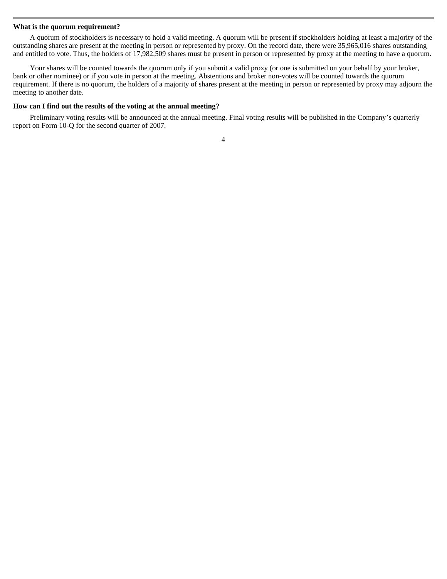#### **What is the quorum requirement?**

 A quorum of stockholders is necessary to hold a valid meeting. A quorum will be present if stockholders holding at least a majority of the outstanding shares are present at the meeting in person or represented by proxy. On the record date, there were 35,965,016 shares outstanding and entitled to vote. Thus, the holders of 17,982,509 shares must be present in person or represented by proxy at the meeting to have a quorum.

Your shares will be counted towards the quorum only if you submit a valid proxy (or one is submitted on your behalf by your broker, bank or other nominee) or if you vote in person at the meeting. Abstentions and broker non-votes will be counted towards the quorum requirement. If there is no quorum, the holders of a majority of shares present at the meeting in person or represented by proxy may adjourn the meeting to another date.

#### **How can I find out the results of the voting at the annual meeting?**

 Preliminary voting results will be announced at the annual meeting. Final voting results will be published in the Company's quarterly report on Form 10-Q for the second quarter of 2007.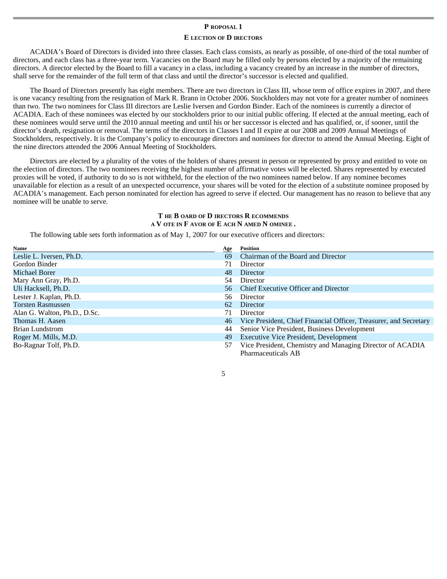# **P ROPOSAL 1**

# **E LECTION OF D IRECTORS**

ACADIA's Board of Directors is divided into three classes. Each class consists, as nearly as possible, of one-third of the total number of directors, and each class has a three-year term. Vacancies on the Board may be filled only by persons elected by a majority of the remaining directors. A director elected by the Board to fill a vacancy in a class, including a vacancy created by an increase in the number of directors, shall serve for the remainder of the full term of that class and until the director's successor is elected and qualified.

The Board of Directors presently has eight members. There are two directors in Class III, whose term of office expires in 2007, and there is one vacancy resulting from the resignation of Mark R. Brann in October 2006. Stockholders may not vote for a greater number of nominees than two. The two nominees for Class III directors are Leslie Iversen and Gordon Binder. Each of the nominees is currently a director of ACADIA. Each of these nominees was elected by our stockholders prior to our initial public offering. If elected at the annual meeting, each of these nominees would serve until the 2010 annual meeting and until his or her successor is elected and has qualified, or, if sooner, until the director's death, resignation or removal. The terms of the directors in Classes I and II expire at our 2008 and 2009 Annual Meetings of Stockholders, respectively. It is the Company's policy to encourage directors and nominees for director to attend the Annual Meeting. Eight of the nine directors attended the 2006 Annual Meeting of Stockholders.

Directors are elected by a plurality of the votes of the holders of shares present in person or represented by proxy and entitled to vote on the election of directors. The two nominees receiving the highest number of affirmative votes will be elected. Shares represented by executed proxies will be voted, if authority to do so is not withheld, for the election of the two nominees named below. If any nominee becomes unavailable for election as a result of an unexpected occurrence, your shares will be voted for the election of a substitute nominee proposed by ACADIA's management. Each person nominated for election has agreed to serve if elected. Our management has no reason to believe that any nominee will be unable to serve.

# **T HE B OARD OF D IRECTORS R ECOMMENDS A V OTE IN F AVOR OF E ACH N AMED N OMINEE .**

The following table sets forth information as of May 1, 2007 for our executive officers and directors:

| Name                         | Age | <b>Position</b>                                                   |
|------------------------------|-----|-------------------------------------------------------------------|
| Leslie L. Iversen, Ph.D.     | 69  | Chairman of the Board and Director                                |
| Gordon Binder                | 71  | Director                                                          |
| <b>Michael Borer</b>         | 48  | Director                                                          |
| Mary Ann Gray, Ph.D.         | 54  | Director                                                          |
| Uli Hacksell, Ph.D.          | 56. | Chief Executive Officer and Director                              |
| Lester J. Kaplan, Ph.D.      | 56  | Director                                                          |
| <b>Torsten Rasmussen</b>     | 62  | Director                                                          |
| Alan G. Walton, Ph.D., D.Sc. | 71  | Director                                                          |
| Thomas H. Aasen              | 46  | Vice President, Chief Financial Officer, Treasurer, and Secretary |
| Brian Lundstrom              | 44  | Senior Vice President, Business Development                       |
| Roger M. Mills, M.D.         | 49  | <b>Executive Vice President, Development</b>                      |
| Bo-Ragnar Tolf, Ph.D.        | 57  | Vice President, Chemistry and Managing Director of ACADIA         |
|                              |     | Pharmaceuticals AB                                                |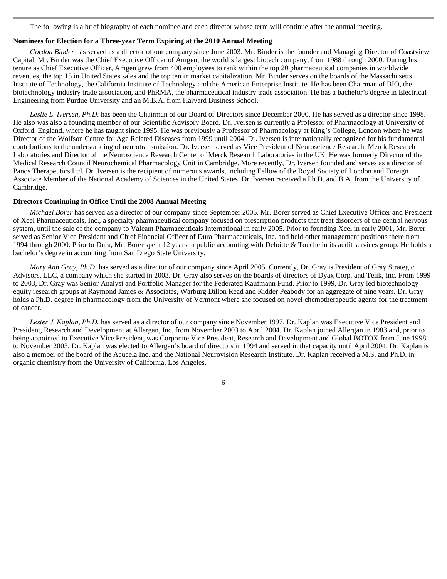The following is a brief biography of each nominee and each director whose term will continue after the annual meeting.

# **Nominees for Election for a Three-year Term Expiring at the 2010 Annual Meeting**

 *Gordon Binder* has served as a director of our company since June 2003. Mr. Binder is the founder and Managing Director of Coastview Capital. Mr. Binder was the Chief Executive Officer of Amgen, the world's largest biotech company, from 1988 through 2000. During his tenure as Chief Executive Officer, Amgen grew from 400 employees to rank within the top 20 pharmaceutical companies in worldwide revenues, the top 15 in United States sales and the top ten in market capitalization. Mr. Binder serves on the boards of the Massachusetts Institute of Technology, the California Institute of Technology and the American Enterprise Institute. He has been Chairman of BIO, the biotechnology industry trade association, and PhRMA, the pharmaceutical industry trade association. He has a bachelor's degree in Electrical Engineering from Purdue University and an M.B.A. from Harvard Business School.

*Leslie L. Iversen, Ph.D.* has been the Chairman of our Board of Directors since December 2000. He has served as a director since 1998. He also was also a founding member of our Scientific Advisory Board. Dr. Iversen is currently a Professor of Pharmacology at University of Oxford, England, where he has taught since 1995. He was previously a Professor of Pharmacology at King's College, London where he was Director of the Wolfson Centre for Age Related Diseases from 1999 until 2004. Dr. Iversen is internationally recognized for his fundamental contributions to the understanding of neurotransmission. Dr. Iversen served as Vice President of Neuroscience Research, Merck Research Laboratories and Director of the Neuroscience Research Center of Merck Research Laboratories in the UK. He was formerly Director of the Medical Research Council Neurochemical Pharmacology Unit in Cambridge. More recently, Dr. Iversen founded and serves as a director of Panos Therapeutics Ltd. Dr. Iversen is the recipient of numerous awards, including Fellow of the Royal Society of London and Foreign Associate Member of the National Academy of Sciences in the United States. Dr. Iversen received a Ph.D. and B.A. from the University of Cambridge.

# **Directors Continuing in Office Until the 2008 Annual Meeting**

 *Michael Borer* has served as a director of our company since September 2005. Mr. Borer served as Chief Executive Officer and President of Xcel Pharmaceuticals, Inc., a specialty pharmaceutical company focused on prescription products that treat disorders of the central nervous system, until the sale of the company to Valeant Pharmaceuticals International in early 2005. Prior to founding Xcel in early 2001, Mr. Borer served as Senior Vice President and Chief Financial Officer of Dura Pharmaceuticals, Inc. and held other management positions there from 1994 through 2000. Prior to Dura, Mr. Borer spent 12 years in public accounting with Deloitte & Touche in its audit services group. He holds a bachelor's degree in accounting from San Diego State University.

*Mary Ann Gray, Ph.D.* has served as a director of our company since April 2005. Currently, Dr. Gray is President of Gray Strategic Advisors, LLC, a company which she started in 2003. Dr. Gray also serves on the boards of directors of Dyax Corp. and Telik, Inc. From 1999 to 2003, Dr. Gray was Senior Analyst and Portfolio Manager for the Federated Kaufmann Fund. Prior to 1999, Dr. Gray led biotechnology equity research groups at Raymond James & Associates, Warburg Dillon Read and Kidder Peabody for an aggregate of nine years. Dr. Gray holds a Ph.D. degree in pharmacology from the University of Vermont where she focused on novel chemotherapeutic agents for the treatment of cancer.

*Lester J. Kaplan, Ph.D.* has served as a director of our company since November 1997. Dr. Kaplan was Executive Vice President and President, Research and Development at Allergan, Inc. from November 2003 to April 2004. Dr. Kaplan joined Allergan in 1983 and, prior to being appointed to Executive Vice President, was Corporate Vice President, Research and Development and Global BOTOX from June 1998 to November 2003. Dr. Kaplan was elected to Allergan's board of directors in 1994 and served in that capacity until April 2004. Dr. Kaplan is also a member of the board of the Acucela Inc. and the National Neurovision Research Institute. Dr. Kaplan received a M.S. and Ph.D. in organic chemistry from the University of California, Los Angeles.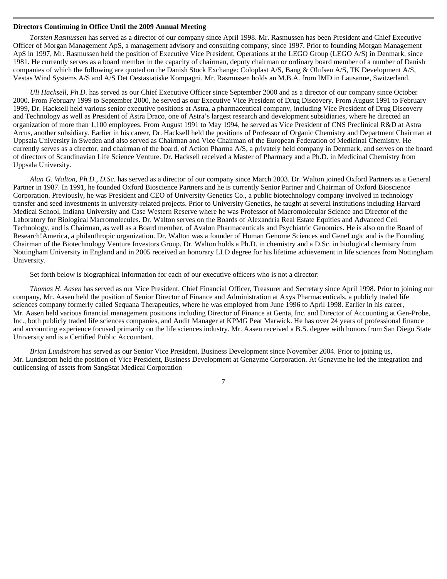#### **Directors Continuing in Office Until the 2009 Annual Meeting**

 *Torsten Rasmussen* has served as a director of our company since April 1998. Mr. Rasmussen has been President and Chief Executive Officer of Morgan Management ApS, a management advisory and consulting company, since 1997. Prior to founding Morgan Management ApS in 1997, Mr. Rasmussen held the position of Executive Vice President, Operations at the LEGO Group (LEGO A/S) in Denmark, since 1981. He currently serves as a board member in the capacity of chairman, deputy chairman or ordinary board member of a number of Danish companies of which the following are quoted on the Danish Stock Exchange: Coloplast A/S, Bang & Olufsen A/S, TK Development A/S, Vestas Wind Systems A/S and A/S Det Oestasiatiske Kompagni. Mr. Rasmussen holds an M.B.A. from IMD in Lausanne, Switzerland.

*Uli Hacksell, Ph.D.* has served as our Chief Executive Officer since September 2000 and as a director of our company since October 2000. From February 1999 to September 2000, he served as our Executive Vice President of Drug Discovery. From August 1991 to February 1999, Dr. Hacksell held various senior executive positions at Astra, a pharmaceutical company, including Vice President of Drug Discovery and Technology as well as President of Astra Draco, one of Astra's largest research and development subsidiaries, where he directed an organization of more than 1,100 employees. From August 1991 to May 1994, he served as Vice President of CNS Preclinical R&D at Astra Arcus, another subsidiary. Earlier in his career, Dr. Hacksell held the positions of Professor of Organic Chemistry and Department Chairman at Uppsala University in Sweden and also served as Chairman and Vice Chairman of the European Federation of Medicinal Chemistry. He currently serves as a director, and chairman of the board, of Action Pharma A/S, a privately held company in Denmark, and serves on the board of directors of Scandinavian Life Science Venture. Dr. Hacksell received a Master of Pharmacy and a Ph.D. in Medicinal Chemistry from Uppsala University.

*Alan G. Walton, Ph.D., D.Sc.* has served as a director of our company since March 2003. Dr. Walton joined Oxford Partners as a General Partner in 1987. In 1991, he founded Oxford Bioscience Partners and he is currently Senior Partner and Chairman of Oxford Bioscience Corporation. Previously, he was President and CEO of University Genetics Co., a public biotechnology company involved in technology transfer and seed investments in university-related projects. Prior to University Genetics, he taught at several institutions including Harvard Medical School, Indiana University and Case Western Reserve where he was Professor of Macromolecular Science and Director of the Laboratory for Biological Macromolecules. Dr. Walton serves on the Boards of Alexandria Real Estate Equities and Advanced Cell Technology, and is Chairman, as well as a Board member, of Avalon Pharmaceuticals and Psychiatric Genomics. He is also on the Board of Research!America, a philanthropic organization. Dr. Walton was a founder of Human Genome Sciences and GeneLogic and is the Founding Chairman of the Biotechnology Venture Investors Group. Dr. Walton holds a Ph.D. in chemistry and a D.Sc. in biological chemistry from Nottingham University in England and in 2005 received an honorary LLD degree for his lifetime achievement in life sciences from Nottingham University.

Set forth below is biographical information for each of our executive officers who is not a director:

*Thomas H. Aasen* has served as our Vice President, Chief Financial Officer, Treasurer and Secretary since April 1998. Prior to joining our company, Mr. Aasen held the position of Senior Director of Finance and Administration at Axys Pharmaceuticals, a publicly traded life sciences company formerly called Sequana Therapeutics, where he was employed from June 1996 to April 1998. Earlier in his career, Mr. Aasen held various financial management positions including Director of Finance at Genta, Inc. and Director of Accounting at Gen-Probe, Inc., both publicly traded life sciences companies, and Audit Manager at KPMG Peat Marwick. He has over 24 years of professional finance and accounting experience focused primarily on the life sciences industry. Mr. Aasen received a B.S. degree with honors from San Diego State University and is a Certified Public Accountant.

*Brian Lundstrom* has served as our Senior Vice President, Business Development since November 2004. Prior to joining us, Mr. Lundstrom held the position of Vice President, Business Development at Genzyme Corporation. At Genzyme he led the integration and outlicensing of assets from SangStat Medical Corporation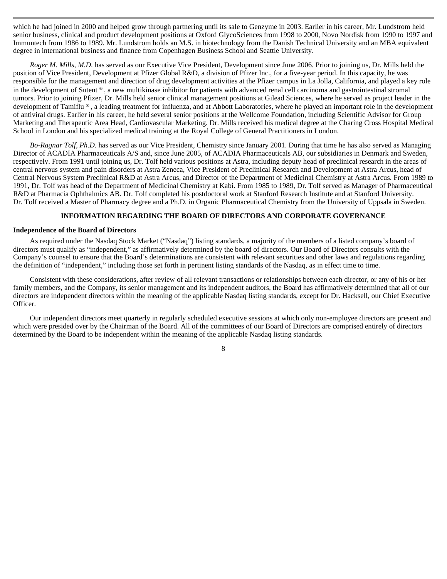which he had joined in 2000 and helped grow through partnering until its sale to Genzyme in 2003. Earlier in his career, Mr. Lundstrom held senior business, clinical and product development positions at Oxford GlycoSciences from 1998 to 2000, Novo Nordisk from 1990 to 1997 and Immuntech from 1986 to 1989. Mr. Lundstrom holds an M.S. in biotechnology from the Danish Technical University and an MBA equivalent degree in international business and finance from Copenhagen Business School and Seattle University.

*Roger M. Mills, M.D.* has served as our Executive Vice President, Development since June 2006. Prior to joining us, Dr. Mills held the position of Vice President, Development at Pfizer Global R&D, a division of Pfizer Inc., for a five-year period. In this capacity, he was responsible for the management and direction of drug development activities at the Pfizer campus in La Jolla, California, and played a key role in the development of Sutent ® , a new multikinase inhibitor for patients with advanced renal cell carcinoma and gastrointestinal stromal tumors. Prior to joining Pfizer, Dr. Mills held senior clinical management positions at Gilead Sciences, where he served as project leader in the development of Tamiflu ®, a leading treatment for influenza, and at Abbott Laboratories, where he played an important role in the development of antiviral drugs. Earlier in his career, he held several senior positions at the Wellcome Foundation, including Scientific Advisor for Group Marketing and Therapeutic Area Head, Cardiovascular Marketing. Dr. Mills received his medical degree at the Charing Cross Hospital Medical School in London and his specialized medical training at the Royal College of General Practitioners in London.

*Bo-Ragnar Tolf, Ph.D.* has served as our Vice President, Chemistry since January 2001. During that time he has also served as Managing Director of ACADIA Pharmaceuticals A/S and, since June 2005, of ACADIA Pharmaceuticals AB, our subsidiaries in Denmark and Sweden, respectively. From 1991 until joining us, Dr. Tolf held various positions at Astra, including deputy head of preclinical research in the areas of central nervous system and pain disorders at Astra Zeneca, Vice President of Preclinical Research and Development at Astra Arcus, head of Central Nervous System Preclinical R&D at Astra Arcus, and Director of the Department of Medicinal Chemistry at Astra Arcus. From 1989 to 1991, Dr. Tolf was head of the Department of Medicinal Chemistry at Kabi. From 1985 to 1989, Dr. Tolf served as Manager of Pharmaceutical R&D at Pharmacia Ophthalmics AB. Dr. Tolf completed his postdoctoral work at Stanford Research Institute and at Stanford University. Dr. Tolf received a Master of Pharmacy degree and a Ph.D. in Organic Pharmaceutical Chemistry from the University of Uppsala in Sweden.

#### **INFORMATION REGARDING THE BOARD OF DIRECTORS AND CORPORATE GOVERNANCE**

#### **Independence of the Board of Directors**

 As required under the Nasdaq Stock Market ("Nasdaq") listing standards, a majority of the members of a listed company's board of directors must qualify as "independent," as affirmatively determined by the board of directors. Our Board of Directors consults with the Company's counsel to ensure that the Board's determinations are consistent with relevant securities and other laws and regulations regarding the definition of "independent," including those set forth in pertinent listing standards of the Nasdaq, as in effect time to time.

Consistent with these considerations, after review of all relevant transactions or relationships between each director, or any of his or her family members, and the Company, its senior management and its independent auditors, the Board has affirmatively determined that all of our directors are independent directors within the meaning of the applicable Nasdaq listing standards, except for Dr. Hacksell, our Chief Executive Officer.

Our independent directors meet quarterly in regularly scheduled executive sessions at which only non-employee directors are present and which were presided over by the Chairman of the Board. All of the committees of our Board of Directors are comprised entirely of directors determined by the Board to be independent within the meaning of the applicable Nasdaq listing standards.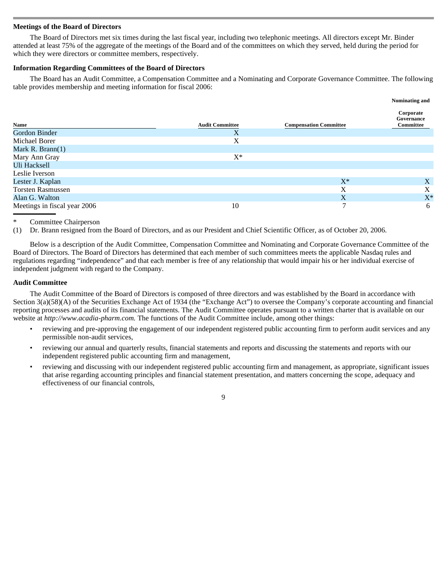# **Meetings of the Board of Directors**

 The Board of Directors met six times during the last fiscal year, including two telephonic meetings. All directors except Mr. Binder attended at least 75% of the aggregate of the meetings of the Board and of the committees on which they served, held during the period for which they were directors or committee members, respectively.

# **Information Regarding Committees of the Board of Directors**

 The Board has an Audit Committee, a Compensation Committee and a Nominating and Corporate Governance Committee. The following table provides membership and meeting information for fiscal 2006:

**Nominating and** 

|                              |                        |                               | Nommating and                        |
|------------------------------|------------------------|-------------------------------|--------------------------------------|
| Name                         | <b>Audit Committee</b> | <b>Compensation Committee</b> | Corporate<br>Governance<br>Committee |
| Gordon Binder                | X                      |                               |                                      |
| Michael Borer                | X                      |                               |                                      |
| Mark R. Brann $(1)$          |                        |                               |                                      |
| Mary Ann Gray                | $\mathbf{X}^*$         |                               |                                      |
| Uli Hacksell                 |                        |                               |                                      |
| Leslie Iverson               |                        |                               |                                      |
| Lester J. Kaplan             |                        | $X^*$                         | X                                    |
| <b>Torsten Rasmussen</b>     |                        | X                             | X                                    |
| Alan G. Walton               |                        | X                             | $X^*$                                |
| Meetings in fiscal year 2006 | 10                     | $\mathcal{L}$                 | 6                                    |

# Committee Chairperson

(1) Dr. Brann resigned from the Board of Directors, and as our President and Chief Scientific Officer, as of October 20, 2006.

Below is a description of the Audit Committee, Compensation Committee and Nominating and Corporate Governance Committee of the Board of Directors. The Board of Directors has determined that each member of such committees meets the applicable Nasdaq rules and regulations regarding "independence" and that each member is free of any relationship that would impair his or her individual exercise of independent judgment with regard to the Company.

# **Audit Committee**

The Audit Committee of the Board of Directors is composed of three directors and was established by the Board in accordance with Section 3(a)(58)(A) of the Securities Exchange Act of 1934 (the "Exchange Act") to oversee the Company's corporate accounting and financial reporting processes and audits of its financial statements. The Audit Committee operates pursuant to a written charter that is available on our website at *http://www.acadia-pharm.com*. The functions of the Audit Committee include, among other things:

- reviewing and pre-approving the engagement of our independent registered public accounting firm to perform audit services and any permissible non-audit services,
- reviewing our annual and quarterly results, financial statements and reports and discussing the statements and reports with our independent registered public accounting firm and management,

9

• reviewing and discussing with our independent registered public accounting firm and management, as appropriate, significant issues that arise regarding accounting principles and financial statement presentation, and matters concerning the scope, adequacy and effectiveness of our financial controls,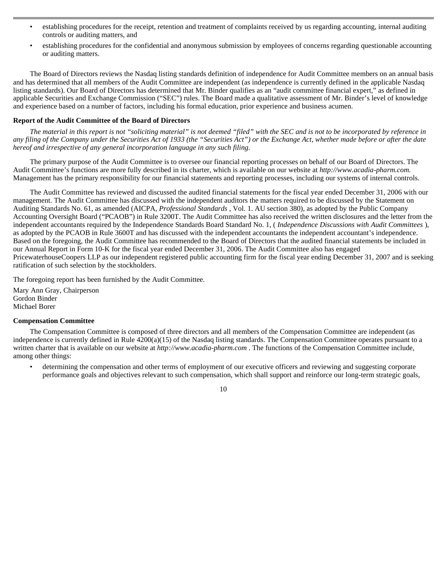- establishing procedures for the receipt, retention and treatment of complaints received by us regarding accounting, internal auditing controls or auditing matters, and
- establishing procedures for the confidential and anonymous submission by employees of concerns regarding questionable accounting or auditing matters.

The Board of Directors reviews the Nasdaq listing standards definition of independence for Audit Committee members on an annual basis and has determined that all members of the Audit Committee are independent (as independence is currently defined in the applicable Nasdaq listing standards). Our Board of Directors has determined that Mr. Binder qualifies as an "audit committee financial expert," as defined in applicable Securities and Exchange Commission ("SEC") rules. The Board made a qualitative assessment of Mr. Binder's level of knowledge and experience based on a number of factors, including his formal education, prior experience and business acumen.

# **Report of the Audit Committee of the Board of Directors**

*The material in this report is not "soliciting material" is not deemed "filed" with the SEC and is not to be incorporated by reference in any filing of the Company under the Securities Act of 1933 (the "Securities Act") or the Exchange Act, whether made before or after the date hereof and irrespective of any general incorporation language in any such filing.* 

The primary purpose of the Audit Committee is to oversee our financial reporting processes on behalf of our Board of Directors. The Audit Committee's functions are more fully described in its charter, which is available on our website at *http://www.acadia-pharm.com.*  Management has the primary responsibility for our financial statements and reporting processes, including our systems of internal controls.

The Audit Committee has reviewed and discussed the audited financial statements for the fiscal year ended December 31, 2006 with our management. The Audit Committee has discussed with the independent auditors the matters required to be discussed by the Statement on Auditing Standards No. 61, as amended (AICPA, *Professional Standards* , Vol. 1. AU section 380), as adopted by the Public Company Accounting Oversight Board ("PCAOB") in Rule 3200T. The Audit Committee has also received the written disclosures and the letter from the independent accountants required by the Independence Standards Board Standard No. 1, ( *Independence Discussions with Audit Committees* ), as adopted by the PCAOB in Rule 3600T and has discussed with the independent accountants the independent accountant's independence. Based on the foregoing, the Audit Committee has recommended to the Board of Directors that the audited financial statements be included in our Annual Report in Form 10-K for the fiscal year ended December 31, 2006. The Audit Committee also has engaged PricewaterhouseCoopers LLP as our independent registered public accounting firm for the fiscal year ending December 31, 2007 and is seeking ratification of such selection by the stockholders.

The foregoing report has been furnished by the Audit Committee.

 Mary Ann Gray, Chairperson Gordon Binder Michael Borer

# **Compensation Committee**

 The Compensation Committee is composed of three directors and all members of the Compensation Committee are independent (as independence is currently defined in Rule 4200(a)(15) of the Nasdaq listing standards. The Compensation Committee operates pursuant to a written charter that is available on our website at *http://www.acadia-pharm.com* . The functions of the Compensation Committee include, among other things:

• determining the compensation and other terms of employment of our executive officers and reviewing and suggesting corporate performance goals and objectives relevant to such compensation, which shall support and reinforce our long-term strategic goals,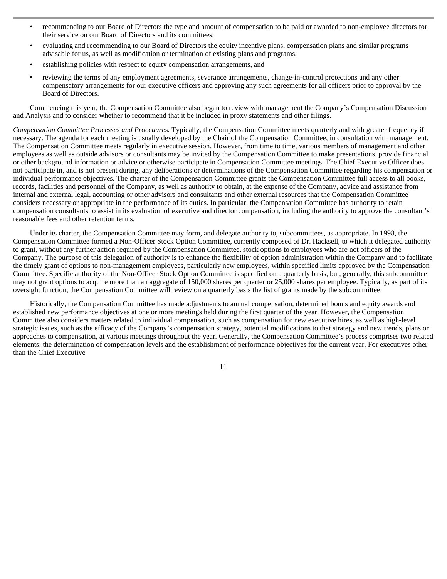- recommending to our Board of Directors the type and amount of compensation to be paid or awarded to non-employee directors for their service on our Board of Directors and its committees,
- evaluating and recommending to our Board of Directors the equity incentive plans, compensation plans and similar programs advisable for us, as well as modification or termination of existing plans and programs,
- establishing policies with respect to equity compensation arrangements, and
- reviewing the terms of any employment agreements, severance arrangements, change-in-control protections and any other compensatory arrangements for our executive officers and approving any such agreements for all officers prior to approval by the Board of Directors.

Commencing this year, the Compensation Committee also began to review with management the Company's Compensation Discussion and Analysis and to consider whether to recommend that it be included in proxy statements and other filings.

*Compensation Committee Processes and Procedures.* Typically, the Compensation Committee meets quarterly and with greater frequency if necessary. The agenda for each meeting is usually developed by the Chair of the Compensation Committee, in consultation with management. The Compensation Committee meets regularly in executive session. However, from time to time, various members of management and other employees as well as outside advisors or consultants may be invited by the Compensation Committee to make presentations, provide financial or other background information or advice or otherwise participate in Compensation Committee meetings. The Chief Executive Officer does not participate in, and is not present during, any deliberations or determinations of the Compensation Committee regarding his compensation or individual performance objectives. The charter of the Compensation Committee grants the Compensation Committee full access to all books, records, facilities and personnel of the Company, as well as authority to obtain, at the expense of the Company, advice and assistance from internal and external legal, accounting or other advisors and consultants and other external resources that the Compensation Committee considers necessary or appropriate in the performance of its duties. In particular, the Compensation Committee has authority to retain compensation consultants to assist in its evaluation of executive and director compensation, including the authority to approve the consultant's reasonable fees and other retention terms.

Under its charter, the Compensation Committee may form, and delegate authority to, subcommittees, as appropriate. In 1998, the Compensation Committee formed a Non-Officer Stock Option Committee, currently composed of Dr. Hacksell, to which it delegated authority to grant, without any further action required by the Compensation Committee, stock options to employees who are not officers of the Company. The purpose of this delegation of authority is to enhance the flexibility of option administration within the Company and to facilitate the timely grant of options to non-management employees, particularly new employees, within specified limits approved by the Compensation Committee. Specific authority of the Non-Officer Stock Option Committee is specified on a quarterly basis, but, generally, this subcommittee may not grant options to acquire more than an aggregate of 150,000 shares per quarter or 25,000 shares per employee. Typically, as part of its oversight function, the Compensation Committee will review on a quarterly basis the list of grants made by the subcommittee.

Historically, the Compensation Committee has made adjustments to annual compensation, determined bonus and equity awards and established new performance objectives at one or more meetings held during the first quarter of the year. However, the Compensation Committee also considers matters related to individual compensation, such as compensation for new executive hires, as well as high-level strategic issues, such as the efficacy of the Company's compensation strategy, potential modifications to that strategy and new trends, plans or approaches to compensation, at various meetings throughout the year. Generally, the Compensation Committee's process comprises two related elements: the determination of compensation levels and the establishment of performance objectives for the current year. For executives other than the Chief Executive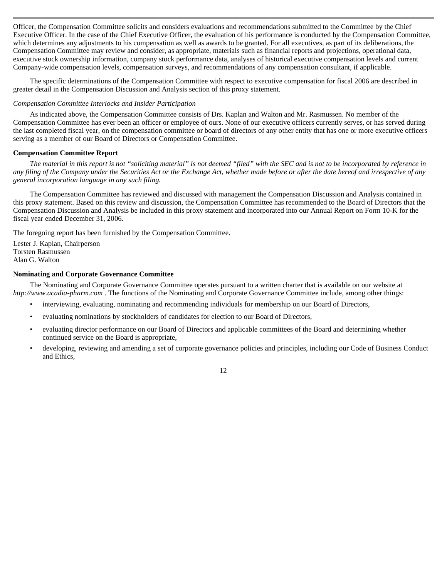Officer, the Compensation Committee solicits and considers evaluations and recommendations submitted to the Committee by the Chief Executive Officer. In the case of the Chief Executive Officer, the evaluation of his performance is conducted by the Compensation Committee, which determines any adjustments to his compensation as well as awards to be granted. For all executives, as part of its deliberations, the Compensation Committee may review and consider, as appropriate, materials such as financial reports and projections, operational data, executive stock ownership information, company stock performance data, analyses of historical executive compensation levels and current Company-wide compensation levels, compensation surveys, and recommendations of any compensation consultant, if applicable.

The specific determinations of the Compensation Committee with respect to executive compensation for fiscal 2006 are described in greater detail in the Compensation Discussion and Analysis section of this proxy statement.

### *Compensation Committee Interlocks and Insider Participation*

 As indicated above, the Compensation Committee consists of Drs. Kaplan and Walton and Mr. Rasmussen. No member of the Compensation Committee has ever been an officer or employee of ours. None of our executive officers currently serves, or has served during the last completed fiscal year, on the compensation committee or board of directors of any other entity that has one or more executive officers serving as a member of our Board of Directors or Compensation Committee.

#### **Compensation Committee Report**

 *The material in this report is not "soliciting material" is not deemed "filed" with the SEC and is not to be incorporated by reference in any filing of the Company under the Securities Act or the Exchange Act, whether made before or after the date hereof and irrespective of any general incorporation language in any such filing.* 

The Compensation Committee has reviewed and discussed with management the Compensation Discussion and Analysis contained in this proxy statement. Based on this review and discussion, the Compensation Committee has recommended to the Board of Directors that the Compensation Discussion and Analysis be included in this proxy statement and incorporated into our Annual Report on Form 10-K for the fiscal year ended December 31, 2006.

The foregoing report has been furnished by the Compensation Committee.

 Lester J. Kaplan, Chairperson Torsten Rasmussen Alan G. Walton

### **Nominating and Corporate Governance Committee**

 The Nominating and Corporate Governance Committee operates pursuant to a written charter that is available on our website at *http://www.acadia-pharm.com* . The functions of the Nominating and Corporate Governance Committee include, among other things:

- interviewing, evaluating, nominating and recommending individuals for membership on our Board of Directors,
- evaluating nominations by stockholders of candidates for election to our Board of Directors,
- evaluating director performance on our Board of Directors and applicable committees of the Board and determining whether continued service on the Board is appropriate,
- developing, reviewing and amending a set of corporate governance policies and principles, including our Code of Business Conduct and Ethics,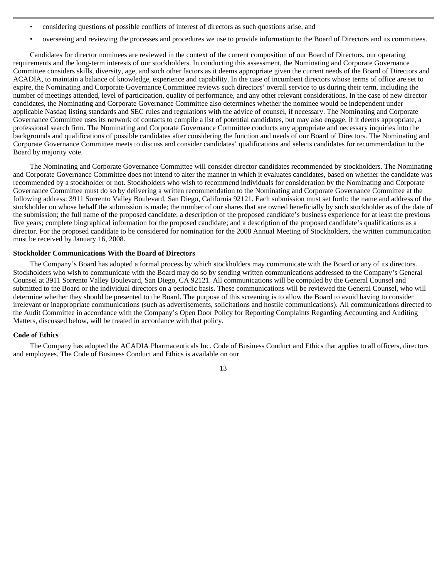- considering questions of possible conflicts of interest of directors as such questions arise, and
- overseeing and reviewing the processes and procedures we use to provide information to the Board of Directors and its committees.

Candidates for director nominees are reviewed in the context of the current composition of our Board of Directors, our operating requirements and the long-term interests of our stockholders. In conducting this assessment, the Nominating and Corporate Governance Committee considers skills, diversity, age, and such other factors as it deems appropriate given the current needs of the Board of Directors and ACADIA, to maintain a balance of knowledge, experience and capability. In the case of incumbent directors whose terms of office are set to expire, the Nominating and Corporate Governance Committee reviews such directors' overall service to us during their term, including the number of meetings attended, level of participation, quality of performance, and any other relevant considerations. In the case of new director candidates, the Nominating and Corporate Governance Committee also determines whether the nominee would be independent under applicable Nasdaq listing standards and SEC rules and regulations with the advice of counsel, if necessary. The Nominating and Corporate Governance Committee uses its network of contacts to compile a list of potential candidates, but may also engage, if it deems appropriate, a professional search firm. The Nominating and Corporate Governance Committee conducts any appropriate and necessary inquiries into the backgrounds and qualifications of possible candidates after considering the function and needs of our Board of Directors. The Nominating and Corporate Governance Committee meets to discuss and consider candidates' qualifications and selects candidates for recommendation to the Board by majority vote.

The Nominating and Corporate Governance Committee will consider director candidates recommended by stockholders. The Nominating and Corporate Governance Committee does not intend to alter the manner in which it evaluates candidates, based on whether the candidate was recommended by a stockholder or not. Stockholders who wish to recommend individuals for consideration by the Nominating and Corporate Governance Committee must do so by delivering a written recommendation to the Nominating and Corporate Governance Committee at the following address: 3911 Sorrento Valley Boulevard, San Diego, California 92121. Each submission must set forth: the name and address of the stockholder on whose behalf the submission is made; the number of our shares that are owned beneficially by such stockholder as of the date of the submission; the full name of the proposed candidate; a description of the proposed candidate's business experience for at least the previous five years; complete biographical information for the proposed candidate; and a description of the proposed candidate's qualifications as a director. For the proposed candidate to be considered for nomination for the 2008 Annual Meeting of Stockholders, the written communication must be received by January 16, 2008.

# **Stockholder Communications With the Board of Directors**

The Company's Board has adopted a formal process by which stockholders may communicate with the Board or any of its directors. Stockholders who wish to communicate with the Board may do so by sending written communications addressed to the Company's General Counsel at 3911 Sorrento Valley Boulevard, San Diego, CA 92121. All communications will be compiled by the General Counsel and submitted to the Board or the individual directors on a periodic basis. These communications will be reviewed the General Counsel, who will determine whether they should be presented to the Board. The purpose of this screening is to allow the Board to avoid having to consider irrelevant or inappropriate communications (such as advertisements, solicitations and hostile communications). All communications directed to the Audit Committee in accordance with the Company's Open Door Policy for Reporting Complaints Regarding Accounting and Auditing Matters, discussed below, will be treated in accordance with that policy.

#### **Code of Ethics**

 The Company has adopted the ACADIA Pharmaceuticals Inc. Code of Business Conduct and Ethics that applies to all officers, directors and employees. The Code of Business Conduct and Ethics is available on our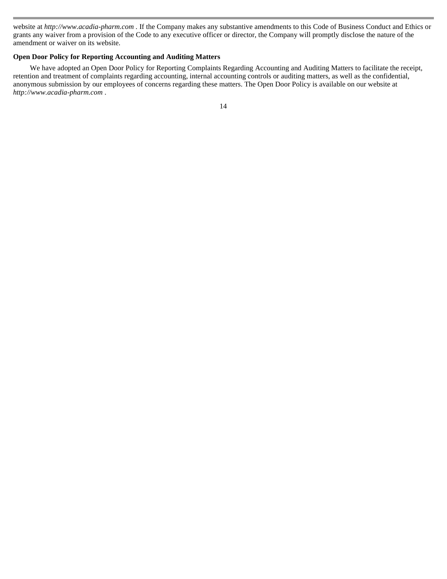website at *http://www.acadia-pharm.com .* If the Company makes any substantive amendments to this Code of Business Conduct and Ethics or grants any waiver from a provision of the Code to any executive officer or director, the Company will promptly disclose the nature of the amendment or waiver on its website.

# **Open Door Policy for Reporting Accounting and Auditing Matters**

 We have adopted an Open Door Policy for Reporting Complaints Regarding Accounting and Auditing Matters to facilitate the receipt, retention and treatment of complaints regarding accounting, internal accounting controls or auditing matters, as well as the confidential, anonymous submission by our employees of concerns regarding these matters. The Open Door Policy is available on our website at *http://www.acadia-pharm.com* .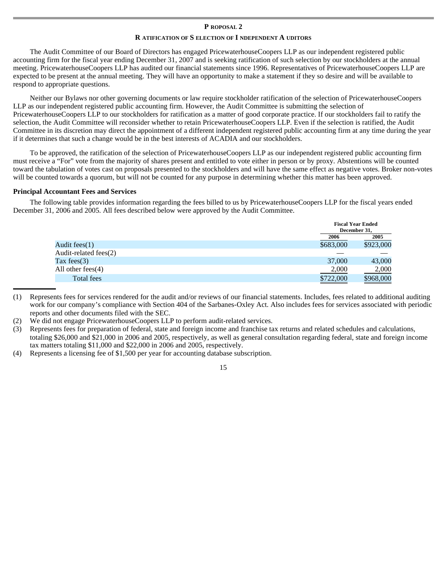#### **P ROPOSAL 2**

### **R ATIFICATION OF S ELECTION OF I NDEPENDENT A UDITORS**

The Audit Committee of our Board of Directors has engaged PricewaterhouseCoopers LLP as our independent registered public accounting firm for the fiscal year ending December 31, 2007 and is seeking ratification of such selection by our stockholders at the annual meeting. PricewaterhouseCoopers LLP has audited our financial statements since 1996. Representatives of PricewaterhouseCoopers LLP are expected to be present at the annual meeting. They will have an opportunity to make a statement if they so desire and will be available to respond to appropriate questions.

Neither our Bylaws nor other governing documents or law require stockholder ratification of the selection of PricewaterhouseCoopers LLP as our independent registered public accounting firm. However, the Audit Committee is submitting the selection of PricewaterhouseCoopers LLP to our stockholders for ratification as a matter of good corporate practice. If our stockholders fail to ratify the selection, the Audit Committee will reconsider whether to retain PricewaterhouseCoopers LLP. Even if the selection is ratified, the Audit Committee in its discretion may direct the appointment of a different independent registered public accounting firm at any time during the year if it determines that such a change would be in the best interests of ACADIA and our stockholders.

To be approved, the ratification of the selection of PricewaterhouseCoopers LLP as our independent registered public accounting firm must receive a "For" vote from the majority of shares present and entitled to vote either in person or by proxy. Abstentions will be counted toward the tabulation of votes cast on proposals presented to the stockholders and will have the same effect as negative votes. Broker non-votes will be counted towards a quorum, but will not be counted for any purpose in determining whether this matter has been approved.

### **Principal Accountant Fees and Services**

 The following table provides information regarding the fees billed to us by PricewaterhouseCoopers LLP for the fiscal years ended December 31, 2006 and 2005. All fees described below were approved by the Audit Committee.

|                          |           | <b>Fiscal Year Ended</b><br>December 31, |
|--------------------------|-----------|------------------------------------------|
|                          | 2006      | 2005                                     |
| Audit fees $(1)$         | \$683,000 | \$923,000                                |
| Audit-related fees $(2)$ |           |                                          |
| Tax fees $(3)$           | 37,000    | 43,000                                   |
| All other fees $(4)$     | 2,000     | 2,000                                    |
| Total fees               | \$722,000 | \$968,000                                |

(1) Represents fees for services rendered for the audit and/or reviews of our financial statements. Includes, fees related to additional auditing work for our company's compliance with Section 404 of the Sarbanes-Oxley Act. Also includes fees for services associated with periodic reports and other documents filed with the SEC.

- (2) We did not engage PricewaterhouseCoopers LLP to perform audit-related services.
- (3) Represents fees for preparation of federal, state and foreign income and franchise tax returns and related schedules and calculations, totaling \$26,000 and \$21,000 in 2006 and 2005, respectively, as well as general consultation regarding federal, state and foreign income tax matters totaling \$11,000 and \$22,000 in 2006 and 2005, respectively.
- (4) Represents a licensing fee of \$1,500 per year for accounting database subscription.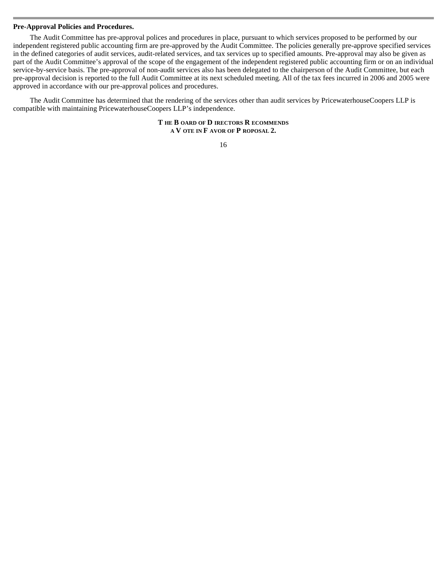#### **Pre-Approval Policies and Procedures.**

 The Audit Committee has pre-approval polices and procedures in place, pursuant to which services proposed to be performed by our independent registered public accounting firm are pre-approved by the Audit Committee. The policies generally pre-approve specified services in the defined categories of audit services, audit-related services, and tax services up to specified amounts. Pre-approval may also be given as part of the Audit Committee's approval of the scope of the engagement of the independent registered public accounting firm or on an individual service-by-service basis. The pre-approval of non-audit services also has been delegated to the chairperson of the Audit Committee, but each pre-approval decision is reported to the full Audit Committee at its next scheduled meeting. All of the tax fees incurred in 2006 and 2005 were approved in accordance with our pre-approval polices and procedures.

The Audit Committee has determined that the rendering of the services other than audit services by PricewaterhouseCoopers LLP is compatible with maintaining PricewaterhouseCoopers LLP's independence.

> **T HE B OARD OF D IRECTORS R ECOMMENDS A V OTE IN F AVOR OF P ROPOSAL 2.**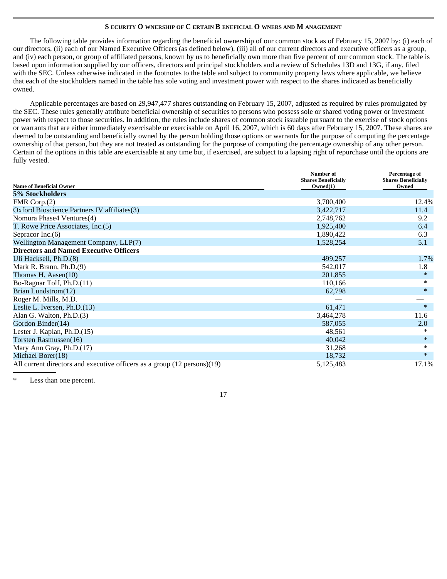# **S ECURITY O WNERSHIP OF C ERTAIN B ENEFICIAL O WNERS AND M ANAGEMENT**

The following table provides information regarding the beneficial ownership of our common stock as of February 15, 2007 by: (i) each of our directors, (ii) each of our Named Executive Officers (as defined below), (iii) all of our current directors and executive officers as a group, and (iv) each person, or group of affiliated persons, known by us to beneficially own more than five percent of our common stock. The table is based upon information supplied by our officers, directors and principal stockholders and a review of Schedules 13D and 13G, if any, filed with the SEC. Unless otherwise indicated in the footnotes to the table and subject to community property laws where applicable, we believe that each of the stockholders named in the table has sole voting and investment power with respect to the shares indicated as beneficially owned.

Applicable percentages are based on 29,947,477 shares outstanding on February 15, 2007, adjusted as required by rules promulgated by the SEC. These rules generally attribute beneficial ownership of securities to persons who possess sole or shared voting power or investment power with respect to those securities. In addition, the rules include shares of common stock issuable pursuant to the exercise of stock options or warrants that are either immediately exercisable or exercisable on April 16, 2007, which is 60 days after February 15, 2007. These shares are deemed to be outstanding and beneficially owned by the person holding those options or warrants for the purpose of computing the percentage ownership of that person, but they are not treated as outstanding for the purpose of computing the percentage ownership of any other person. Certain of the options in this table are exercisable at any time but, if exercised, are subject to a lapsing right of repurchase until the options are fully vested.

|                                                                          | Number of<br><b>Shares Beneficially</b> | Percentage of<br><b>Shares Beneficially</b> |
|--------------------------------------------------------------------------|-----------------------------------------|---------------------------------------------|
| <b>Name of Beneficial Owner</b>                                          | Owned(1)                                | Owned                                       |
| 5% Stockholders                                                          |                                         |                                             |
| FMR Corp.(2)                                                             | 3,700,400                               | 12.4%                                       |
| Oxford Bioscience Partners IV affiliates(3)                              | 3,422,717                               | 11.4                                        |
| Nomura Phase4 Ventures(4)                                                | 2,748,762                               | 9.2                                         |
| T. Rowe Price Associates, Inc.(5)                                        | 1,925,400                               | 6.4                                         |
| Sepracor Inc. $(6)$                                                      | 1,890,422                               | 6.3                                         |
| Wellington Management Company, LLP(7)                                    | 1,528,254                               | 5.1                                         |
| <b>Directors and Named Executive Officers</b>                            |                                         |                                             |
| Uli Hacksell, Ph.D.(8)                                                   | 499,257                                 | 1.7%                                        |
| Mark R. Brann, Ph.D.(9)                                                  | 542,017                                 | 1.8                                         |
| Thomas H. Aasen $(10)$                                                   | 201,855                                 | $\ast$                                      |
| Bo-Ragnar Tolf, Ph.D.(11)                                                | 110,166                                 | *                                           |
| Brian Lundstrom(12)                                                      | 62,798                                  | $*$                                         |
| Roger M. Mills, M.D.                                                     |                                         |                                             |
| Leslie L. Iversen, Ph.D.(13)                                             | 61,471                                  | $\ast$                                      |
| Alan G. Walton, Ph.D.(3)                                                 | 3,464,278                               | 11.6                                        |
| Gordon Binder(14)                                                        | 587,055                                 | 2.0                                         |
| Lester J. Kaplan, Ph.D.(15)                                              | 48,561                                  | *                                           |
| Torsten Rasmussen(16)                                                    | 40,042                                  | $\ast$                                      |
| Mary Ann Gray, Ph.D.(17)                                                 | 31,268                                  | *                                           |
| Michael Borer(18)                                                        | 18,732                                  | $*$                                         |
| All current directors and executive officers as a group (12 persons)(19) | 5,125,483                               | 17.1%                                       |

Less than one percent.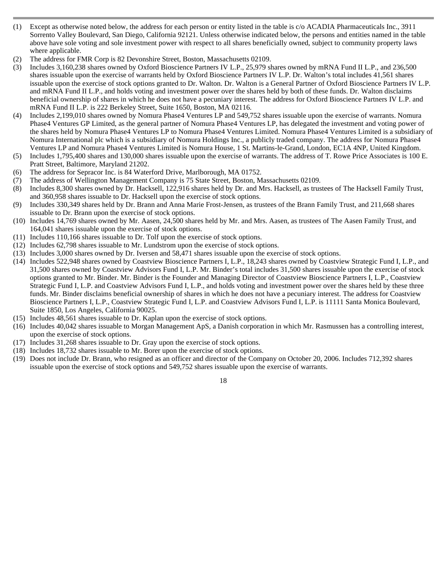- (1) Except as otherwise noted below, the address for each person or entity listed in the table is c/o ACADIA Pharmaceuticals Inc., 3911 Sorrento Valley Boulevard, San Diego, California 92121. Unless otherwise indicated below, the persons and entities named in the table above have sole voting and sole investment power with respect to all shares beneficially owned, subject to community property laws where applicable.
- (2) The address for FMR Corp is 82 Devonshire Street, Boston, Massachusetts 02109.
- (3) Includes 3,160,238 shares owned by Oxford Bioscience Partners IV L.P., 25,979 shares owned by mRNA Fund II L.P., and 236,500 shares issuable upon the exercise of warrants held by Oxford Bioscience Partners IV L.P. Dr. Walton's total includes 41,561 shares issuable upon the exercise of stock options granted to Dr. Walton. Dr. Walton is a General Partner of Oxford Bioscience Partners IV L.P. and mRNA Fund II L.P., and holds voting and investment power over the shares held by both of these funds. Dr. Walton disclaims beneficial ownership of shares in which he does not have a pecuniary interest. The address for Oxford Bioscience Partners IV L.P. and mRNA Fund II L.P. is 222 Berkeley Street, Suite 1650, Boston, MA 02116.
- (4) Includes 2,199,010 shares owned by Nomura Phase4 Ventures LP and 549,752 shares issuable upon the exercise of warrants. Nomura Phase4 Ventures GP Limited, as the general partner of Nomura Phase4 Ventures LP, has delegated the investment and voting power of the shares held by Nomura Phase4 Ventures LP to Nomura Phase4 Ventures Limited. Nomura Phase4 Ventures Limited is a subsidiary of Nomura International plc which is a subsidiary of Nomura Holdings Inc., a publicly traded company. The address for Nomura Phase4 Ventures LP and Nomura Phase4 Ventures Limited is Nomura House, 1 St. Martins-le-Grand, London, EC1A 4NP, United Kingdom.
- (5) Includes 1,795,400 shares and 130,000 shares issuable upon the exercise of warrants. The address of T. Rowe Price Associates is 100 E. Pratt Street, Baltimore, Maryland 21202.
- (6) The address for Sepracor Inc. is 84 Waterford Drive, Marlborough, MA 01752.
- (7) The address of Wellington Management Company is 75 State Street, Boston, Massachusetts 02109.
- (8) Includes 8,300 shares owned by Dr. Hacksell, 122,916 shares held by Dr. and Mrs. Hacksell, as trustees of The Hacksell Family Trust, and 360,958 shares issuable to Dr. Hacksell upon the exercise of stock options.
- (9) Includes 330,349 shares held by Dr. Brann and Anna Marie Frost-Jensen, as trustees of the Brann Family Trust, and 211,668 shares issuable to Dr. Brann upon the exercise of stock options.
- (10) Includes 14,769 shares owned by Mr. Aasen, 24,500 shares held by Mr. and Mrs. Aasen, as trustees of The Aasen Family Trust, and 164,041 shares issuable upon the exercise of stock options.
- (11) Includes 110,166 shares issuable to Dr. Tolf upon the exercise of stock options.
- (12) Includes 62,798 shares issuable to Mr. Lundstrom upon the exercise of stock options.
- (13) Includes 3,000 shares owned by Dr. Iversen and 58,471 shares issuable upon the exercise of stock options.
- (14) Includes 522,948 shares owned by Coastview Bioscience Partners I, L.P., 18,243 shares owned by Coastview Strategic Fund I, L.P., and 31,500 shares owned by Coastview Advisors Fund I, L.P. Mr. Binder's total includes 31,500 shares issuable upon the exercise of stock options granted to Mr. Binder. Mr. Binder is the Founder and Managing Director of Coastview Bioscience Partners I, L.P., Coastview Strategic Fund I, L.P. and Coastview Advisors Fund I, L.P., and holds voting and investment power over the shares held by these three funds. Mr. Binder disclaims beneficial ownership of shares in which he does not have a pecuniary interest. The address for Coastview Bioscience Partners I, L.P., Coastview Strategic Fund I, L.P. and Coastview Advisors Fund I, L.P. is 11111 Santa Monica Boulevard, Suite 1850, Los Angeles, California 90025.
- (15) Includes 48,561 shares issuable to Dr. Kaplan upon the exercise of stock options.
- (16) Includes 40,042 shares issuable to Morgan Management ApS, a Danish corporation in which Mr. Rasmussen has a controlling interest, upon the exercise of stock options.
- (17) Includes 31,268 shares issuable to Dr. Gray upon the exercise of stock options.
- (18) Includes 18,732 shares issuable to Mr. Borer upon the exercise of stock options.
- (19) Does not include Dr. Brann, who resigned as an officer and director of the Company on October 20, 2006. Includes 712,392 shares issuable upon the exercise of stock options and 549,752 shares issuable upon the exercise of warrants.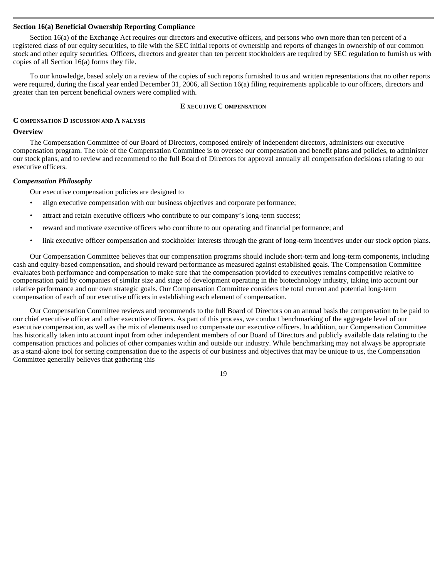#### **Section 16(a) Beneficial Ownership Reporting Compliance**

 Section 16(a) of the Exchange Act requires our directors and executive officers, and persons who own more than ten percent of a registered class of our equity securities, to file with the SEC initial reports of ownership and reports of changes in ownership of our common stock and other equity securities. Officers, directors and greater than ten percent stockholders are required by SEC regulation to furnish us with copies of all Section 16(a) forms they file.

To our knowledge, based solely on a review of the copies of such reports furnished to us and written representations that no other reports were required, during the fiscal year ended December 31, 2006, all Section 16(a) filing requirements applicable to our officers, directors and greater than ten percent beneficial owners were complied with.

### **E XECUTIVE C OMPENSATION**

# **C OMPENSATION D ISCUSSION AND A NALYSIS**

### **Overview**

 The Compensation Committee of our Board of Directors, composed entirely of independent directors, administers our executive compensation program. The role of the Compensation Committee is to oversee our compensation and benefit plans and policies, to administer our stock plans, and to review and recommend to the full Board of Directors for approval annually all compensation decisions relating to our executive officers.

### *Compensation Philosophy*

Our executive compensation policies are designed to

- align executive compensation with our business objectives and corporate performance;
- attract and retain executive officers who contribute to our company's long-term success;
- reward and motivate executive officers who contribute to our operating and financial performance; and
	- link executive officer compensation and stockholder interests through the grant of long-term incentives under our stock option plans.

Our Compensation Committee believes that our compensation programs should include short-term and long-term components, including cash and equity-based compensation, and should reward performance as measured against established goals. The Compensation Committee evaluates both performance and compensation to make sure that the compensation provided to executives remains competitive relative to compensation paid by companies of similar size and stage of development operating in the biotechnology industry, taking into account our relative performance and our own strategic goals. Our Compensation Committee considers the total current and potential long-term compensation of each of our executive officers in establishing each element of compensation.

Our Compensation Committee reviews and recommends to the full Board of Directors on an annual basis the compensation to be paid to our chief executive officer and other executive officers. As part of this process, we conduct benchmarking of the aggregate level of our executive compensation, as well as the mix of elements used to compensate our executive officers. In addition, our Compensation Committee has historically taken into account input from other independent members of our Board of Directors and publicly available data relating to the compensation practices and policies of other companies within and outside our industry. While benchmarking may not always be appropriate as a stand-alone tool for setting compensation due to the aspects of our business and objectives that may be unique to us, the Compensation Committee generally believes that gathering this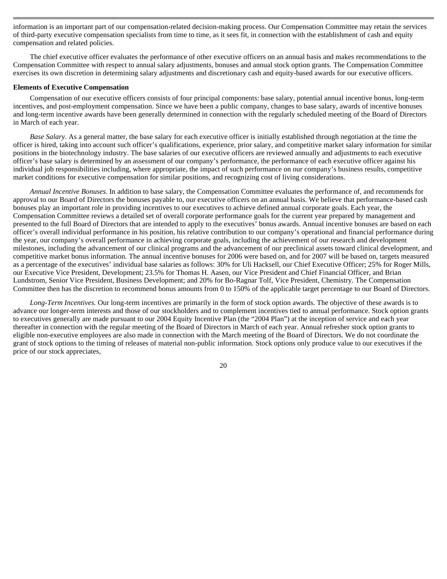information is an important part of our compensation-related decision-making process. Our Compensation Committee may retain the services of third-party executive compensation specialists from time to time, as it sees fit, in connection with the establishment of cash and equity compensation and related policies.

The chief executive officer evaluates the performance of other executive officers on an annual basis and makes recommendations to the Compensation Committee with respect to annual salary adjustments, bonuses and annual stock option grants. The Compensation Committee exercises its own discretion in determining salary adjustments and discretionary cash and equity-based awards for our executive officers.

#### **Elements of Executive Compensation**

 Compensation of our executive officers consists of four principal components: base salary, potential annual incentive bonus, long-term incentives, and post-employment compensation. Since we have been a public company, changes to base salary, awards of incentive bonuses and long-term incentive awards have been generally determined in connection with the regularly scheduled meeting of the Board of Directors in March of each year.

*Base Salary.* As a general matter, the base salary for each executive officer is initially established through negotiation at the time the officer is hired, taking into account such officer's qualifications, experience, prior salary, and competitive market salary information for similar positions in the biotechnology industry. The base salaries of our executive officers are reviewed annually and adjustments to each executive officer's base salary is determined by an assessment of our company's performance, the performance of each executive officer against his individual job responsibilities including, where appropriate, the impact of such performance on our company's business results, competitive market conditions for executive compensation for similar positions, and recognizing cost of living considerations.

*Annual Incentive Bonuses.* In addition to base salary, the Compensation Committee evaluates the performance of, and recommends for approval to our Board of Directors the bonuses payable to, our executive officers on an annual basis. We believe that performance-based cash bonuses play an important role in providing incentives to our executives to achieve defined annual corporate goals. Each year, the Compensation Committee reviews a detailed set of overall corporate performance goals for the current year prepared by management and presented to the full Board of Directors that are intended to apply to the executives' bonus awards. Annual incentive bonuses are based on each officer's overall individual performance in his position, his relative contribution to our company's operational and financial performance during the year, our company's overall performance in achieving corporate goals, including the achievement of our research and development milestones, including the advancement of our clinical programs and the advancement of our preclinical assets toward clinical development, and competitive market bonus information. The annual incentive bonuses for 2006 were based on, and for 2007 will be based on, targets measured as a percentage of the executives' individual base salaries as follows: 30% for Uli Hacksell, our Chief Executive Officer; 25% for Roger Mills, our Executive Vice President, Development; 23.5% for Thomas H. Aasen, our Vice President and Chief Financial Officer, and Brian Lundstrom, Senior Vice President, Business Development; and 20% for Bo-Ragnar Tolf, Vice President, Chemistry. The Compensation Committee then has the discretion to recommend bonus amounts from 0 to 150% of the applicable target percentage to our Board of Directors.

*Long-Term Incentives.* Our long-term incentives are primarily in the form of stock option awards. The objective of these awards is to advance our longer-term interests and those of our stockholders and to complement incentives tied to annual performance. Stock option grants to executives generally are made pursuant to our 2004 Equity Incentive Plan (the "2004 Plan") at the inception of service and each year thereafter in connection with the regular meeting of the Board of Directors in March of each year. Annual refresher stock option grants to eligible non-executive employees are also made in connection with the March meeting of the Board of Directors. We do not coordinate the grant of stock options to the timing of releases of material non-public information. Stock options only produce value to our executives if the price of our stock appreciates,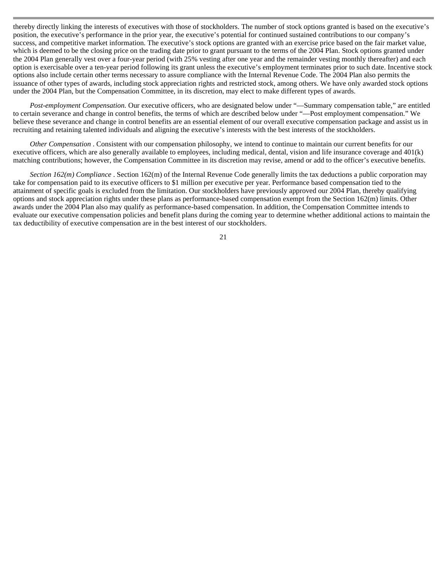thereby directly linking the interests of executives with those of stockholders. The number of stock options granted is based on the executive's position, the executive's performance in the prior year, the executive's potential for continued sustained contributions to our company's success, and competitive market information. The executive's stock options are granted with an exercise price based on the fair market value, which is deemed to be the closing price on the trading date prior to grant pursuant to the terms of the 2004 Plan. Stock options granted under the 2004 Plan generally vest over a four-year period (with 25% vesting after one year and the remainder vesting monthly thereafter) and each option is exercisable over a ten-year period following its grant unless the executive's employment terminates prior to such date. Incentive stock options also include certain other terms necessary to assure compliance with the Internal Revenue Code. The 2004 Plan also permits the issuance of other types of awards, including stock appreciation rights and restricted stock, among others. We have only awarded stock options under the 2004 Plan, but the Compensation Committee, in its discretion, may elect to make different types of awards.

*Post-employment Compensation.* Our executive officers, who are designated below under "—Summary compensation table," are entitled to certain severance and change in control benefits, the terms of which are described below under "—Post employment compensation." We believe these severance and change in control benefits are an essential element of our overall executive compensation package and assist us in recruiting and retaining talented individuals and aligning the executive's interests with the best interests of the stockholders.

*Other Compensation* . Consistent with our compensation philosophy, we intend to continue to maintain our current benefits for our executive officers, which are also generally available to employees, including medical, dental, vision and life insurance coverage and 401(k) matching contributions; however, the Compensation Committee in its discretion may revise, amend or add to the officer's executive benefits.

*Section 162(m) Compliance* . Section 162(m) of the Internal Revenue Code generally limits the tax deductions a public corporation may take for compensation paid to its executive officers to \$1 million per executive per year. Performance based compensation tied to the attainment of specific goals is excluded from the limitation. Our stockholders have previously approved our 2004 Plan, thereby qualifying options and stock appreciation rights under these plans as performance-based compensation exempt from the Section 162(m) limits. Other awards under the 2004 Plan also may qualify as performance-based compensation. In addition, the Compensation Committee intends to evaluate our executive compensation policies and benefit plans during the coming year to determine whether additional actions to maintain the tax deductibility of executive compensation are in the best interest of our stockholders.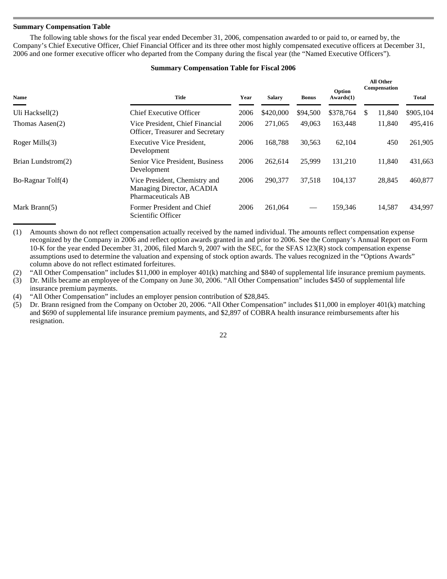# **Summary Compensation Table**

 The following table shows for the fiscal year ended December 31, 2006, compensation awarded to or paid to, or earned by, the Company's Chief Executive Officer, Chief Financial Officer and its three other most highly compensated executive officers at December 31, 2006 and one former executive officer who departed from the Company during the fiscal year (the "Named Executive Officers").

# **Summary Compensation Table for Fiscal 2006**

| Name               | <b>Title</b>                                                                     | Year | <b>Salary</b> | <b>Bonus</b> | Option<br>Awards(1) | All Other<br>Compensation | <b>Total</b> |
|--------------------|----------------------------------------------------------------------------------|------|---------------|--------------|---------------------|---------------------------|--------------|
| Uli Hacksell(2)    | Chief Executive Officer                                                          | 2006 | \$420,000     | \$94,500     | \$378,764           | \$<br>11,840              | \$905,104    |
| Thomas Aasen(2)    | Vice President, Chief Financial<br>Officer, Treasurer and Secretary              | 2006 | 271,065       | 49,063       | 163,448             | 11.840                    | 495,416      |
| Roger Mills $(3)$  | Executive Vice President,<br>Development                                         | 2006 | 168.788       | 30,563       | 62,104              | 450                       | 261,905      |
| Brian Lundstrom(2) | Senior Vice President, Business<br>Development                                   | 2006 | 262.614       | 25,999       | 131.210             | 11.840                    | 431,663      |
| Bo-Ragnar Tolf(4)  | Vice President, Chemistry and<br>Managing Director, ACADIA<br>Pharmaceuticals AB | 2006 | 290,377       | 37.518       | 104.137             | 28,845                    | 460,877      |
| Mark Brann $(5)$   | Former President and Chief<br>Scientific Officer                                 | 2006 | 261,064       |              | 159,346             | 14,587                    | 434,997      |

(1) Amounts shown do not reflect compensation actually received by the named individual. The amounts reflect compensation expense recognized by the Company in 2006 and reflect option awards granted in and prior to 2006. See the Company's Annual Report on Form 10-K for the year ended December 31, 2006, filed March 9, 2007 with the SEC, for the SFAS 123(R) stock compensation expense assumptions used to determine the valuation and expensing of stock option awards. The values recognized in the "Options Awards" column above do not reflect estimated forfeitures.

(2) "All Other Compensation" includes \$11,000 in employer 401(k) matching and \$840 of supplemental life insurance premium payments.

(3) Dr. Mills became an employee of the Company on June 30, 2006. "All Other Compensation" includes \$450 of supplemental life insurance premium payments.

(4) "All Other Compensation" includes an employer pension contribution of \$28,845.

(5) Dr. Brann resigned from the Company on October 20, 2006. "All Other Compensation" includes \$11,000 in employer 401(k) matching and \$690 of supplemental life insurance premium payments, and \$2,897 of COBRA health insurance reimbursements after his resignation.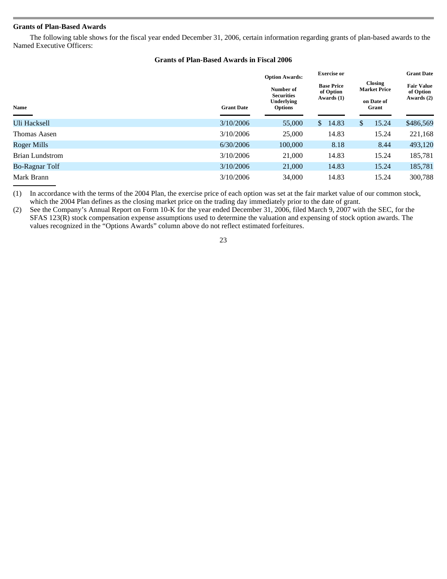# **Grants of Plan-Based Awards**

 The following table shows for the fiscal year ended December 31, 2006, certain information regarding grants of plan-based awards to the Named Executive Officers:

# **Grants of Plan-Based Awards in Fiscal 2006**

|                       |                   | <b>Option Awards:</b>                                          | <b>Exercise</b> or                           |                                                       | <b>Grant Date</b>                            |  |
|-----------------------|-------------------|----------------------------------------------------------------|----------------------------------------------|-------------------------------------------------------|----------------------------------------------|--|
| Name                  | <b>Grant Date</b> | Number of<br><b>Securities</b><br>Underlying<br><b>Options</b> | <b>Base Price</b><br>of Option<br>Awards (1) | Closing<br><b>Market Price</b><br>on Date of<br>Grant | <b>Fair Value</b><br>of Option<br>Awards (2) |  |
| Uli Hacksell          | 3/10/2006         | 55,000                                                         | 14.83<br>$\mathbb{S}$                        | 15.24<br>\$                                           | \$486,569                                    |  |
| Thomas Aasen          | 3/10/2006         | 25,000                                                         | 14.83                                        | 15.24                                                 | 221,168                                      |  |
| Roger Mills           | 6/30/2006         | 100,000                                                        | 8.18                                         | 8.44                                                  | 493,120                                      |  |
| Brian Lundstrom       | 3/10/2006         | 21,000                                                         | 14.83                                        | 15.24                                                 | 185,781                                      |  |
| <b>Bo-Ragnar Tolf</b> | 3/10/2006         | 21,000                                                         | 14.83                                        | 15.24                                                 | 185,781                                      |  |
| Mark Brann            | 3/10/2006         | 34,000                                                         | 14.83                                        | 15.24                                                 | 300,788                                      |  |

(1) In accordance with the terms of the 2004 Plan, the exercise price of each option was set at the fair market value of our common stock, which the 2004 Plan defines as the closing market price on the trading day immediately prior to the date of grant.

(2) See the Company's Annual Report on Form 10-K for the year ended December 31, 2006, filed March 9, 2007 with the SEC, for the SFAS 123(R) stock compensation expense assumptions used to determine the valuation and expensing of stock option awards. The values recognized in the "Options Awards" column above do not reflect estimated forfeitures.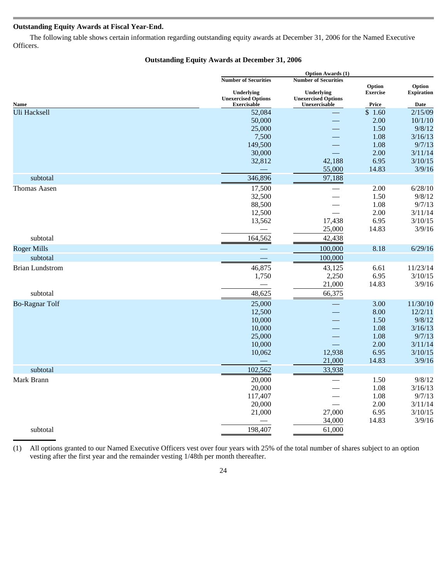# **Outstanding Equity Awards at Fiscal Year-End.**

 The following table shows certain information regarding outstanding equity awards at December 31, 2006 for the Named Executive Officers.

# **Outstanding Equity Awards at December 31, 2006**

|                        |                             | <b>Option Awards (1)</b>    |                           |                             |  |  |
|------------------------|-----------------------------|-----------------------------|---------------------------|-----------------------------|--|--|
|                        | <b>Number of Securities</b> | <b>Number of Securities</b> |                           |                             |  |  |
|                        | Underlying                  | Underlying                  | Option<br><b>Exercise</b> | Option<br><b>Expiration</b> |  |  |
|                        | <b>Unexercised Options</b>  | <b>Unexercised Options</b>  |                           |                             |  |  |
| Name                   | <b>Exercisable</b>          | Unexercisable               | Price                     | Date                        |  |  |
| <b>Uli Hacksell</b>    | 52,084                      |                             | \$1.60                    | 2/15/09                     |  |  |
|                        | 50,000                      |                             | 2.00                      | 10/1/10                     |  |  |
|                        | 25,000                      |                             | 1.50                      | 9/8/12                      |  |  |
|                        | 7,500                       |                             | 1.08                      | 3/16/13                     |  |  |
|                        | 149,500                     |                             | 1.08                      | 9/7/13                      |  |  |
|                        | 30,000                      |                             | 2.00                      | 3/11/14                     |  |  |
|                        | 32,812                      | 42,188                      | 6.95                      | 3/10/15                     |  |  |
|                        |                             | 55,000                      | 14.83                     | 3/9/16                      |  |  |
| subtotal               | 346,896                     | 97,188                      |                           |                             |  |  |
| Thomas Aasen           | 17,500                      |                             | 2.00                      | 6/28/10                     |  |  |
|                        | 32,500                      |                             | 1.50                      | 9/8/12                      |  |  |
|                        | 88,500                      |                             | 1.08                      | 9/7/13                      |  |  |
|                        | 12,500                      |                             | 2.00                      | 3/11/14                     |  |  |
|                        | 13,562                      | 17,438                      | 6.95                      | 3/10/15                     |  |  |
|                        |                             | 25,000                      | 14.83                     | 3/9/16                      |  |  |
| subtotal               | 164,562                     | 42,438                      |                           |                             |  |  |
| <b>Roger Mills</b>     |                             | 100,000                     | 8.18                      | 6/29/16                     |  |  |
| subtotal               |                             | 100,000                     |                           |                             |  |  |
| <b>Brian Lundstrom</b> | 46,875                      | 43,125                      | 6.61                      | 11/23/14                    |  |  |
|                        | 1,750                       | 2,250                       | 6.95                      | 3/10/15                     |  |  |
|                        |                             | 21,000                      | 14.83                     | 3/9/16                      |  |  |
| subtotal               | 48,625                      | 66,375                      |                           |                             |  |  |
|                        |                             |                             |                           |                             |  |  |
| <b>Bo-Ragnar Tolf</b>  | 25,000                      |                             | 3.00                      | 11/30/10                    |  |  |
|                        | 12,500                      |                             | 8.00                      | 12/2/11                     |  |  |
|                        | 10,000                      |                             | 1.50                      | 9/8/12                      |  |  |
|                        | 10,000                      |                             | 1.08                      | 3/16/13                     |  |  |
|                        | 25,000                      |                             | 1.08                      | 9/7/13                      |  |  |
|                        | 10,000                      |                             | 2.00                      | 3/11/14                     |  |  |
|                        | 10,062                      | 12,938                      | 6.95                      | 3/10/15                     |  |  |
|                        |                             | 21,000                      | 14.83                     | 3/9/16                      |  |  |
| subtotal               | 102,562                     | 33,938                      |                           |                             |  |  |
| Mark Brann             | 20,000                      |                             | 1.50                      | 9/8/12                      |  |  |
|                        | 20,000                      |                             | 1.08                      | 3/16/13                     |  |  |
|                        | 117,407                     |                             | 1.08                      | 9/7/13                      |  |  |
|                        | 20,000                      |                             | 2.00                      | 3/11/14                     |  |  |
|                        | 21,000                      | 27,000                      | 6.95                      | 3/10/15                     |  |  |
|                        |                             | 34,000                      | 14.83                     | 3/9/16                      |  |  |
| subtotal               | 198,407                     | 61,000                      |                           |                             |  |  |
|                        |                             |                             |                           |                             |  |  |

(1) All options granted to our Named Executive Officers vest over four years with 25% of the total number of shares subject to an option vesting after the first year and the remainder vesting 1/48th per month thereafter.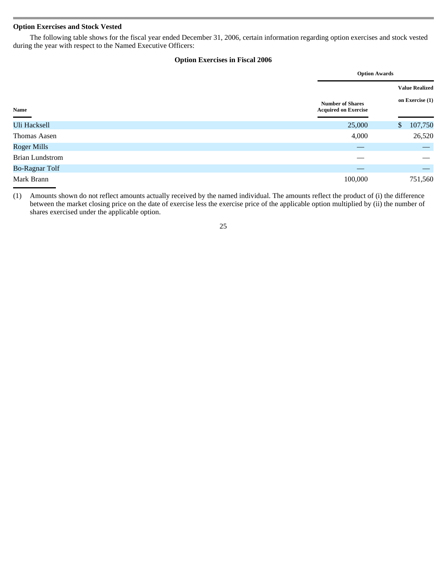# **Option Exercises and Stock Vested**

 The following table shows for the fiscal year ended December 31, 2006, certain information regarding option exercises and stock vested during the year with respect to the Named Executive Officers:

# **Option Exercises in Fiscal 2006**

|                        |                                                        | <b>Option Awards</b>           |
|------------------------|--------------------------------------------------------|--------------------------------|
|                        |                                                        | <b>Value Realized</b>          |
| Name                   | <b>Number of Shares</b><br><b>Acquired on Exercise</b> | on Exercise (1)                |
| <b>Uli Hacksell</b>    | 25,000                                                 | 107,750<br>$\mathbb{S}$        |
| Thomas Aasen           | 4,000                                                  | 26,520                         |
| <b>Roger Mills</b>     |                                                        |                                |
| <b>Brian Lundstrom</b> |                                                        |                                |
| <b>Bo-Ragnar Tolf</b>  |                                                        | $\qquad \qquad \longleftarrow$ |
| Mark Brann             | 100,000                                                | 751,560                        |

(1) Amounts shown do not reflect amounts actually received by the named individual. The amounts reflect the product of (i) the difference between the market closing price on the date of exercise less the exercise price of the applicable option multiplied by (ii) the number of shares exercised under the applicable option.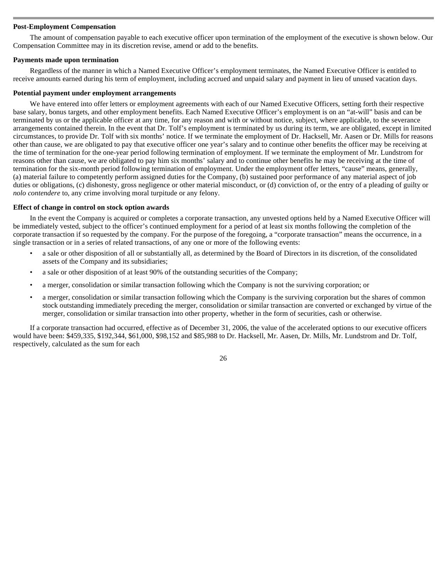# **Post-Employment Compensation**

 The amount of compensation payable to each executive officer upon termination of the employment of the executive is shown below. Our Compensation Committee may in its discretion revise, amend or add to the benefits.

### **Payments made upon termination**

 Regardless of the manner in which a Named Executive Officer's employment terminates, the Named Executive Officer is entitled to receive amounts earned during his term of employment, including accrued and unpaid salary and payment in lieu of unused vacation days.

### **Potential payment under employment arrangements**

 We have entered into offer letters or employment agreements with each of our Named Executive Officers, setting forth their respective base salary, bonus targets, and other employment benefits. Each Named Executive Officer's employment is on an "at-will" basis and can be terminated by us or the applicable officer at any time, for any reason and with or without notice, subject, where applicable, to the severance arrangements contained therein. In the event that Dr. Tolf's employment is terminated by us during its term, we are obligated, except in limited circumstances, to provide Dr. Tolf with six months' notice. If we terminate the employment of Dr. Hacksell, Mr. Aasen or Dr. Mills for reasons other than cause, we are obligated to pay that executive officer one year's salary and to continue other benefits the officer may be receiving at the time of termination for the one-year period following termination of employment. If we terminate the employment of Mr. Lundstrom for reasons other than cause, we are obligated to pay him six months' salary and to continue other benefits he may be receiving at the time of termination for the six-month period following termination of employment. Under the employment offer letters, "cause" means, generally, (a) material failure to competently perform assigned duties for the Company, (b) sustained poor performance of any material aspect of job duties or obligations, (c) dishonesty, gross negligence or other material misconduct, or (d) conviction of, or the entry of a pleading of guilty or *nolo contendere* to, any crime involving moral turpitude or any felony.

### **Effect of change in control on stock option awards**

 In the event the Company is acquired or completes a corporate transaction, any unvested options held by a Named Executive Officer will be immediately vested, subject to the officer's continued employment for a period of at least six months following the completion of the corporate transaction if so requested by the company. For the purpose of the foregoing, a "corporate transaction" means the occurrence, in a single transaction or in a series of related transactions, of any one or more of the following events:

- a sale or other disposition of all or substantially all, as determined by the Board of Directors in its discretion, of the consolidated assets of the Company and its subsidiaries;
- a sale or other disposition of at least 90% of the outstanding securities of the Company;
- a merger, consolidation or similar transaction following which the Company is not the surviving corporation; or
- a merger, consolidation or similar transaction following which the Company is the surviving corporation but the shares of common stock outstanding immediately preceding the merger, consolidation or similar transaction are converted or exchanged by virtue of the merger, consolidation or similar transaction into other property, whether in the form of securities, cash or otherwise.

If a corporate transaction had occurred, effective as of December 31, 2006, the value of the accelerated options to our executive officers would have been: \$459,335, \$192,344, \$61,000, \$98,152 and \$85,988 to Dr. Hacksell, Mr. Aasen, Dr. Mills, Mr. Lundstrom and Dr. Tolf, respectively, calculated as the sum for each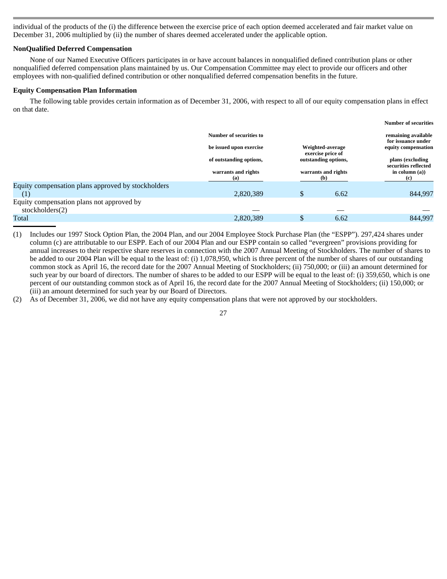individual of the products of the (i) the difference between the exercise price of each option deemed accelerated and fair market value on December 31, 2006 multiplied by (ii) the number of shares deemed accelerated under the applicable option.

### **NonQualified Deferred Compensation**

 None of our Named Executive Officers participates in or have account balances in nonqualified defined contribution plans or other nonqualified deferred compensation plans maintained by us. Our Compensation Committee may elect to provide our officers and other employees with non-qualified defined contribution or other nonqualified deferred compensation benefits in the future.

### **Equity Compensation Plan Information**

 The following table provides certain information as of December 31, 2006, with respect to all of our equity compensation plans in effect on that date.

|                                                    |                                             |                                                                                                |                     | <b>Number of securities</b>                      |
|----------------------------------------------------|---------------------------------------------|------------------------------------------------------------------------------------------------|---------------------|--------------------------------------------------|
|                                                    | Number of securities to                     | remaining available<br>for issuance under                                                      |                     |                                                  |
|                                                    | be issued upon exercise<br>Weighted-average |                                                                                                | equity compensation |                                                  |
|                                                    | of outstanding options,                     | exercise price of<br>outstanding options,<br>warrants and rights<br>warrants and rights<br>(b) |                     | plans (excluding<br>securities reflected         |
|                                                    | (a)                                         |                                                                                                |                     | in column $(a)$ )<br>$\left( \mathbf{c} \right)$ |
| Equity compensation plans approved by stockholders |                                             |                                                                                                |                     |                                                  |
| $\left(1\right)$                                   | 2,820,389                                   | \$                                                                                             | 6.62                | 844,997                                          |
| Equity compensation plans not approved by          |                                             |                                                                                                |                     |                                                  |
| stockholders(2)                                    |                                             |                                                                                                |                     |                                                  |
| Total                                              | 2,820,389                                   |                                                                                                | 6.62                | 844.997                                          |

(1) Includes our 1997 Stock Option Plan, the 2004 Plan, and our 2004 Employee Stock Purchase Plan (the "ESPP"). 297,424 shares under column (c) are attributable to our ESPP. Each of our 2004 Plan and our ESPP contain so called "evergreen" provisions providing for annual increases to their respective share reserves in connection with the 2007 Annual Meeting of Stockholders. The number of shares to be added to our 2004 Plan will be equal to the least of: (i) 1,078,950, which is three percent of the number of shares of our outstanding common stock as April 16, the record date for the 2007 Annual Meeting of Stockholders; (ii) 750,000; or (iii) an amount determined for such year by our board of directors. The number of shares to be added to our ESPP will be equal to the least of: (i) 359,650, which is one percent of our outstanding common stock as of April 16, the record date for the 2007 Annual Meeting of Stockholders; (ii) 150,000; or (iii) an amount determined for such year by our Board of Directors.

(2) As of December 31, 2006, we did not have any equity compensation plans that were not approved by our stockholders.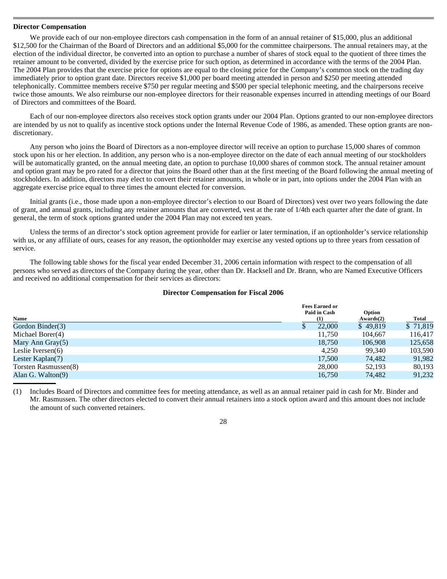### **Director Compensation**

We provide each of our non-employee directors cash compensation in the form of an annual retainer of \$15,000, plus an additional \$12,500 for the Chairman of the Board of Directors and an additional \$5,000 for the committee chairpersons. The annual retainers may, at the election of the individual director, be converted into an option to purchase a number of shares of stock equal to the quotient of three times the retainer amount to be converted, divided by the exercise price for such option, as determined in accordance with the terms of the 2004 Plan. The 2004 Plan provides that the exercise price for options are equal to the closing price for the Company's common stock on the trading day immediately prior to option grant date. Directors receive \$1,000 per board meeting attended in person and \$250 per meeting attended telephonically. Committee members receive \$750 per regular meeting and \$500 per special telephonic meeting, and the chairpersons receive twice those amounts. We also reimburse our non-employee directors for their reasonable expenses incurred in attending meetings of our Board of Directors and committees of the Board.

Each of our non-employee directors also receives stock option grants under our 2004 Plan. Options granted to our non-employee directors are intended by us not to qualify as incentive stock options under the Internal Revenue Code of 1986, as amended. These option grants are nondiscretionary.

Any person who joins the Board of Directors as a non-employee director will receive an option to purchase 15,000 shares of common stock upon his or her election. In addition, any person who is a non-employee director on the date of each annual meeting of our stockholders will be automatically granted, on the annual meeting date, an option to purchase 10,000 shares of common stock. The annual retainer amount and option grant may be pro rated for a director that joins the Board other than at the first meeting of the Board following the annual meeting of stockholders. In addition, directors may elect to convert their retainer amounts, in whole or in part, into options under the 2004 Plan with an aggregate exercise price equal to three times the amount elected for conversion.

Initial grants (i.e., those made upon a non-employee director's election to our Board of Directors) vest over two years following the date of grant, and annual grants, including any retainer amounts that are converted, vest at the rate of 1/4th each quarter after the date of grant. In general, the term of stock options granted under the 2004 Plan may not exceed ten years.

Unless the terms of an director's stock option agreement provide for earlier or later termination, if an optionholder's service relationship with us, or any affiliate of ours, ceases for any reason, the optionholder may exercise any vested options up to three years from cessation of service.

The following table shows for the fiscal year ended December 31, 2006 certain information with respect to the compensation of all persons who served as directors of the Company during the year, other than Dr. Hacksell and Dr. Brann, who are Named Executive Officers and received no additional compensation for their services as directors:

# **Director Compensation for Fiscal 2006**

|                      | <b>Fees Earned or</b> |                     |              |
|----------------------|-----------------------|---------------------|--------------|
| Name                 | Paid in Cash<br>(1)   | Option<br>Awards(2) | <b>Total</b> |
| Gordon Binder(3)     | 22,000                | \$49,819            | \$71,819     |
| Michael Borer(4)     | 11,750                | 104.667             | 116,417      |
| Mary Ann Gray $(5)$  | 18.750                | 106.908             | 125,658      |
| Leslie Iversen $(6)$ | 4.250                 | 99.340              | 103,590      |
| Lester Kaplan $(7)$  | 17.500                | 74.482              | 91,982       |
| Torsten Rasmussen(8) | 28,000                | 52.193              | 80,193       |
| Alan G. Walton(9)    | 16.750                | 74.482              | 91.232       |

(1) Includes Board of Directors and committee fees for meeting attendance, as well as an annual retainer paid in cash for Mr. Binder and Mr. Rasmussen. The other directors elected to convert their annual retainers into a stock option award and this amount does not include the amount of such converted retainers.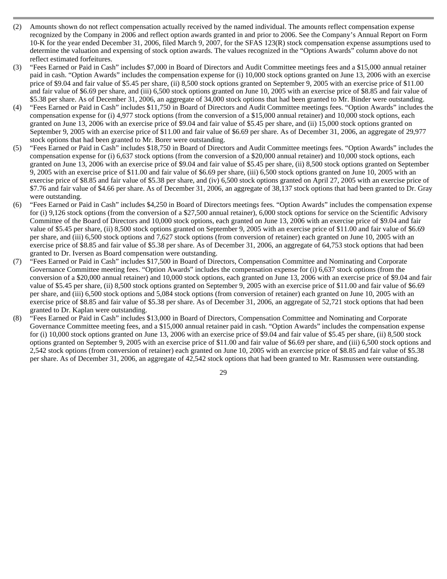- (2) Amounts shown do not reflect compensation actually received by the named individual. The amounts reflect compensation expense recognized by the Company in 2006 and reflect option awards granted in and prior to 2006. See the Company's Annual Report on Form 10-K for the year ended December 31, 2006, filed March 9, 2007, for the SFAS 123(R) stock compensation expense assumptions used to determine the valuation and expensing of stock option awards. The values recognized in the "Options Awards" column above do not reflect estimated forfeitures.
- (3) "Fees Earned or Paid in Cash" includes \$7,000 in Board of Directors and Audit Committee meetings fees and a \$15,000 annual retainer paid in cash. "Option Awards" includes the compensation expense for (i) 10,000 stock options granted on June 13, 2006 with an exercise price of \$9.04 and fair value of \$5.45 per share, (ii) 8,500 stock options granted on September 9, 2005 with an exercise price of \$11.00 and fair value of \$6.69 per share, and (iii) 6,500 stock options granted on June 10, 2005 with an exercise price of \$8.85 and fair value of \$5.38 per share. As of December 31, 2006, an aggregate of 34,000 stock options that had been granted to Mr. Binder were outstanding.
- (4) "Fees Earned or Paid in Cash" includes \$11,750 in Board of Directors and Audit Committee meetings fees. "Option Awards" includes the compensation expense for (i) 4,977 stock options (from the conversion of a \$15,000 annual retainer) and 10,000 stock options, each granted on June 13, 2006 with an exercise price of \$9.04 and fair value of \$5.45 per share, and (ii) 15,000 stock options granted on September 9, 2005 with an exercise price of \$11.00 and fair value of \$6.69 per share. As of December 31, 2006, an aggregate of 29,977 stock options that had been granted to Mr. Borer were outstanding.
- (5) "Fees Earned or Paid in Cash" includes \$18,750 in Board of Directors and Audit Committee meetings fees. "Option Awards" includes the compensation expense for (i) 6,637 stock options (from the conversion of a \$20,000 annual retainer) and 10,000 stock options, each granted on June 13, 2006 with an exercise price of \$9.04 and fair value of \$5.45 per share, (ii) 8,500 stock options granted on September 9, 2005 with an exercise price of \$11.00 and fair value of \$6.69 per share, (iii) 6,500 stock options granted on June 10, 2005 with an exercise price of \$8.85 and fair value of \$5.38 per share, and (iv) 6,500 stock options granted on April 27, 2005 with an exercise price of \$7.76 and fair value of \$4.66 per share. As of December 31, 2006, an aggregate of 38,137 stock options that had been granted to Dr. Gray were outstanding.
- (6) "Fees Earned or Paid in Cash" includes \$4,250 in Board of Directors meetings fees. "Option Awards" includes the compensation expense for (i) 9,126 stock options (from the conversion of a \$27,500 annual retainer), 6,000 stock options for service on the Scientific Advisory Committee of the Board of Directors and 10,000 stock options, each granted on June 13, 2006 with an exercise price of \$9.04 and fair value of \$5.45 per share, (ii) 8,500 stock options granted on September 9, 2005 with an exercise price of \$11.00 and fair value of \$6.69 per share, and (iii) 6,500 stock options and 7,627 stock options (from conversion of retainer) each granted on June 10, 2005 with an exercise price of \$8.85 and fair value of \$5.38 per share. As of December 31, 2006, an aggregate of 64,753 stock options that had been granted to Dr. Iversen as Board compensation were outstanding.
- (7) "Fees Earned or Paid in Cash" includes \$17,500 in Board of Directors, Compensation Committee and Nominating and Corporate Governance Committee meeting fees. "Option Awards" includes the compensation expense for (i) 6,637 stock options (from the conversion of a \$20,000 annual retainer) and 10,000 stock options, each granted on June 13, 2006 with an exercise price of \$9.04 and fair value of \$5.45 per share, (ii) 8,500 stock options granted on September 9, 2005 with an exercise price of \$11.00 and fair value of \$6.69 per share, and (iii) 6,500 stock options and 5,084 stock options (from conversion of retainer) each granted on June 10, 2005 with an exercise price of \$8.85 and fair value of \$5.38 per share. As of December 31, 2006, an aggregate of 52,721 stock options that had been granted to Dr. Kaplan were outstanding.
- (8) "Fees Earned or Paid in Cash" includes \$13,000 in Board of Directors, Compensation Committee and Nominating and Corporate Governance Committee meeting fees, and a \$15,000 annual retainer paid in cash. "Option Awards" includes the compensation expense for (i) 10,000 stock options granted on June 13, 2006 with an exercise price of \$9.04 and fair value of \$5.45 per share, (ii) 8,500 stock options granted on September 9, 2005 with an exercise price of \$11.00 and fair value of \$6.69 per share, and (iii) 6,500 stock options and 2,542 stock options (from conversion of retainer) each granted on June 10, 2005 with an exercise price of \$8.85 and fair value of \$5.38 per share. As of December 31, 2006, an aggregate of 42,542 stock options that had been granted to Mr. Rasmussen were outstanding.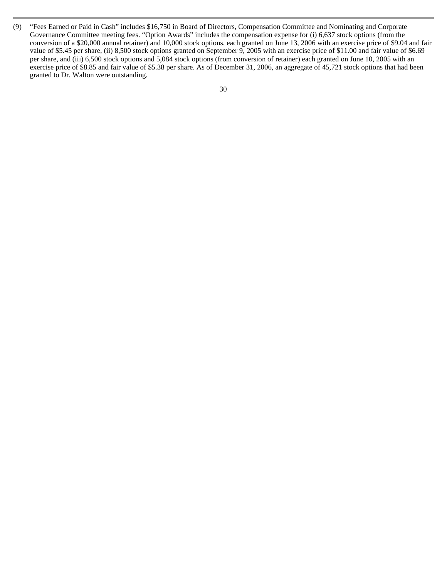(9) "Fees Earned or Paid in Cash" includes \$16,750 in Board of Directors, Compensation Committee and Nominating and Corporate Governance Committee meeting fees. "Option Awards" includes the compensation expense for (i) 6,637 stock options (from the conversion of a \$20,000 annual retainer) and 10,000 stock options, each granted on June 13, 2006 with an exercise price of \$9.04 and fair value of \$5.45 per share, (ii) 8,500 stock options granted on September 9, 2005 with an exercise price of \$11.00 and fair value of \$6.69 per share, and (iii) 6,500 stock options and 5,084 stock options (from conversion of retainer) each granted on June 10, 2005 with an exercise price of \$8.85 and fair value of \$5.38 per share. As of December 31, 2006, an aggregate of 45,721 stock options that had been granted to Dr. Walton were outstanding.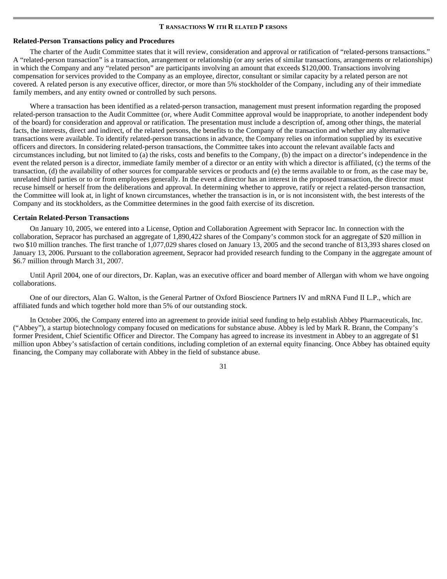#### **T RANSACTIONS W ITH R ELATED P ERSONS**

# **Related-Person Transactions policy and Procedures**

 The charter of the Audit Committee states that it will review, consideration and approval or ratification of "related-persons transactions." A "related-person transaction" is a transaction, arrangement or relationship (or any series of similar transactions, arrangements or relationships) in which the Company and any "related person" are participants involving an amount that exceeds \$120,000. Transactions involving compensation for services provided to the Company as an employee, director, consultant or similar capacity by a related person are not covered. A related person is any executive officer, director, or more than 5% stockholder of the Company, including any of their immediate family members, and any entity owned or controlled by such persons.

Where a transaction has been identified as a related-person transaction, management must present information regarding the proposed related-person transaction to the Audit Committee (or, where Audit Committee approval would be inappropriate, to another independent body of the board) for consideration and approval or ratification. The presentation must include a description of, among other things, the material facts, the interests, direct and indirect, of the related persons, the benefits to the Company of the transaction and whether any alternative transactions were available. To identify related-person transactions in advance, the Company relies on information supplied by its executive officers and directors. In considering related-person transactions, the Committee takes into account the relevant available facts and circumstances including, but not limited to (a) the risks, costs and benefits to the Company, (b) the impact on a director's independence in the event the related person is a director, immediate family member of a director or an entity with which a director is affiliated, (c) the terms of the transaction, (d) the availability of other sources for comparable services or products and (e) the terms available to or from, as the case may be, unrelated third parties or to or from employees generally. In the event a director has an interest in the proposed transaction, the director must recuse himself or herself from the deliberations and approval. In determining whether to approve, ratify or reject a related-person transaction, the Committee will look at, in light of known circumstances, whether the transaction is in, or is not inconsistent with, the best interests of the Company and its stockholders, as the Committee determines in the good faith exercise of its discretion.

#### **Certain Related-Person Transactions**

 On January 10, 2005, we entered into a License, Option and Collaboration Agreement with Sepracor Inc. In connection with the collaboration, Sepracor has purchased an aggregate of 1,890,422 shares of the Company's common stock for an aggregate of \$20 million in two \$10 million tranches. The first tranche of 1,077,029 shares closed on January 13, 2005 and the second tranche of 813,393 shares closed on January 13, 2006. Pursuant to the collaboration agreement, Sepracor had provided research funding to the Company in the aggregate amount of \$6.7 million through March 31, 2007.

Until April 2004, one of our directors, Dr. Kaplan, was an executive officer and board member of Allergan with whom we have ongoing collaborations.

One of our directors, Alan G. Walton, is the General Partner of Oxford Bioscience Partners IV and mRNA Fund II L.P., which are affiliated funds and which together hold more than 5% of our outstanding stock.

In October 2006, the Company entered into an agreement to provide initial seed funding to help establish Abbey Pharmaceuticals, Inc. ("Abbey"), a startup biotechnology company focused on medications for substance abuse. Abbey is led by Mark R. Brann, the Company's former President, Chief Scientific Officer and Director. The Company has agreed to increase its investment in Abbey to an aggregate of \$1 million upon Abbey's satisfaction of certain conditions, including completion of an external equity financing. Once Abbey has obtained equity financing, the Company may collaborate with Abbey in the field of substance abuse.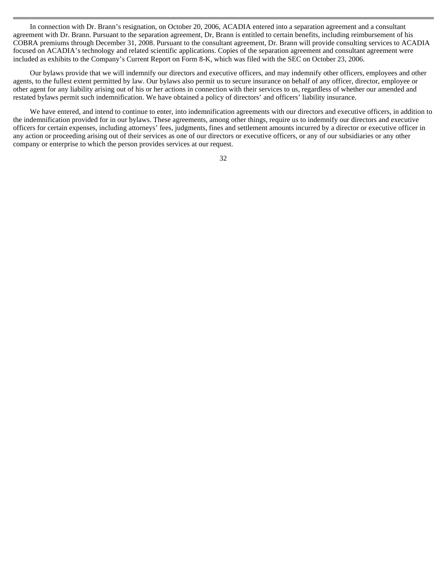In connection with Dr. Brann's resignation, on October 20, 2006, ACADIA entered into a separation agreement and a consultant agreement with Dr. Brann. Pursuant to the separation agreement, Dr, Brann is entitled to certain benefits, including reimbursement of his COBRA premiums through December 31, 2008. Pursuant to the consultant agreement, Dr. Brann will provide consulting services to ACADIA focused on ACADIA's technology and related scientific applications. Copies of the separation agreement and consultant agreement were included as exhibits to the Company's Current Report on Form 8-K, which was filed with the SEC on October 23, 2006.

Our bylaws provide that we will indemnify our directors and executive officers, and may indemnify other officers, employees and other agents, to the fullest extent permitted by law. Our bylaws also permit us to secure insurance on behalf of any officer, director, employee or other agent for any liability arising out of his or her actions in connection with their services to us, regardless of whether our amended and restated bylaws permit such indemnification. We have obtained a policy of directors' and officers' liability insurance.

We have entered, and intend to continue to enter, into indemnification agreements with our directors and executive officers, in addition to the indemnification provided for in our bylaws. These agreements, among other things, require us to indemnify our directors and executive officers for certain expenses, including attorneys' fees, judgments, fines and settlement amounts incurred by a director or executive officer in any action or proceeding arising out of their services as one of our directors or executive officers, or any of our subsidiaries or any other company or enterprise to which the person provides services at our request.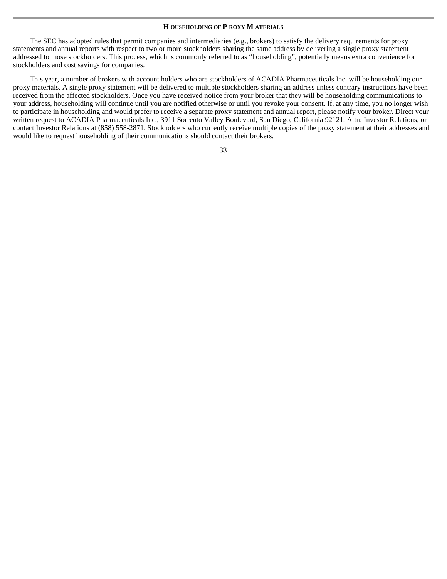#### **H OUSEHOLDING OF P ROXY M ATERIALS**

The SEC has adopted rules that permit companies and intermediaries (e.g., brokers) to satisfy the delivery requirements for proxy statements and annual reports with respect to two or more stockholders sharing the same address by delivering a single proxy statement addressed to those stockholders. This process, which is commonly referred to as "householding", potentially means extra convenience for stockholders and cost savings for companies.

This year, a number of brokers with account holders who are stockholders of ACADIA Pharmaceuticals Inc. will be householding our proxy materials. A single proxy statement will be delivered to multiple stockholders sharing an address unless contrary instructions have been received from the affected stockholders. Once you have received notice from your broker that they will be householding communications to your address, householding will continue until you are notified otherwise or until you revoke your consent. If, at any time, you no longer wish to participate in householding and would prefer to receive a separate proxy statement and annual report, please notify your broker. Direct your written request to ACADIA Pharmaceuticals Inc., 3911 Sorrento Valley Boulevard, San Diego, California 92121, Attn: Investor Relations, or contact Investor Relations at (858) 558-2871. Stockholders who currently receive multiple copies of the proxy statement at their addresses and would like to request householding of their communications should contact their brokers.

| v  | a. |
|----|----|
|    |    |
|    |    |
|    | I  |
| ۰, | ۰. |
| ×  | ×  |
| ٠  | ٠  |
|    |    |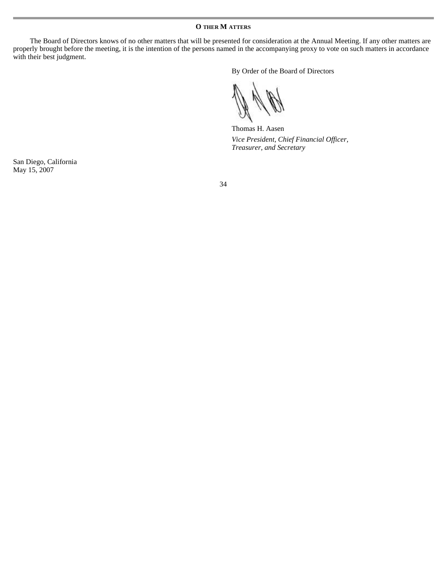**O THER M ATTERS** 

The Board of Directors knows of no other matters that will be presented for consideration at the Annual Meeting. If any other matters are properly brought before the meeting, it is the intention of the persons named in the accompanying proxy to vote on such matters in accordance with their best judgment.

By Order of the Board of Directors

Thomas H. Aasen *Vice President, Chief Financial Officer, Treasurer, and Secretary* 

San Diego, California May 15, 2007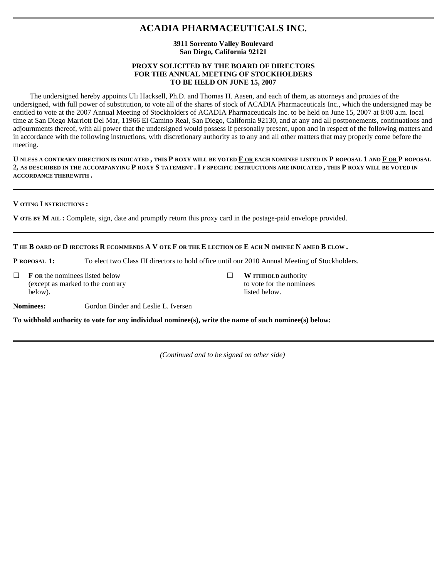# **ACADIA PHARMACEUTICALS INC.**

# **3911 Sorrento Valley Boulevard San Diego, California 92121**

# **PROXY SOLICITED BY THE BOARD OF DIRECTORS FOR THE ANNUAL MEETING OF STOCKHOLDERS TO BE HELD ON JUNE 15, 2007**

The undersigned hereby appoints Uli Hacksell, Ph.D. and Thomas H. Aasen, and each of them, as attorneys and proxies of the undersigned, with full power of substitution, to vote all of the shares of stock of ACADIA Pharmaceuticals Inc., which the undersigned may be entitled to vote at the 2007 Annual Meeting of Stockholders of ACADIA Pharmaceuticals Inc. to be held on June 15, 2007 at 8:00 a.m. local time at San Diego Marriott Del Mar, 11966 El Camino Real, San Diego, California 92130, and at any and all postponements, continuations and adjournments thereof, with all power that the undersigned would possess if personally present, upon and in respect of the following matters and in accordance with the following instructions, with discretionary authority as to any and all other matters that may properly come before the meeting.

U NLESS A CONTRARY DIRECTION IS INDICATED, THIS P ROXY WILL BE VOTED F OR EACH NOMINEE LISTED IN P ROPOSAL 1 AND F OR P ROPOSAL **2, AS DESCRIBED IN THE ACCOMPANYING P ROXY S TATEMENT . I F SPECIFIC INSTRUCTIONS ARE INDICATED , THIS P ROXY WILL BE VOTED IN ACCORDANCE THEREWITH .** 

**V OTING I NSTRUCTIONS :** 

**V OTE BY M AIL :** Complete, sign, date and promptly return this proxy card in the postage-paid envelope provided.

# THE BOARD OF D IRECTORS R ECOMMENDS A V OTE F OR THE E LECTION OF E ACH N OMINEE N AMED B ELOW.

**P ROPOSAL 1:** To elect two Class III directors to hold office until our 2010 Annual Meeting of Stockholders.

 $\Box$ **F OR** the nominees listed below (except as marked to the contrary below).

 $\Box$ **W ITHHOLD** authority to vote for the nominees listed below.

**Nominees:** Gordon Binder and Leslie L. Iversen

**To withhold authority to vote for any individual nominee(s), write the name of such nominee(s) below:** 

*(Continued and to be signed on other side)*